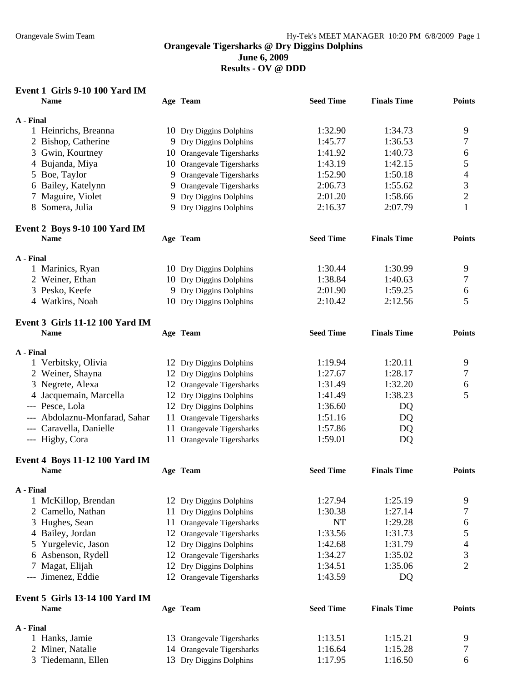**June 6, 2009** 

**Results - OV @ DDD** 

## **Event 1 Girls 9-10 100 Yard IM**

| <b>Name</b>     |                                        | Age Team                  | <b>Seed Time</b> | <b>Finals Time</b> | <b>Points</b>  |
|-----------------|----------------------------------------|---------------------------|------------------|--------------------|----------------|
| A - Final       |                                        |                           |                  |                    |                |
|                 | 1 Heinrichs, Breanna                   | 10 Dry Diggins Dolphins   | 1:32.90          | 1:34.73            | 9              |
|                 | 2 Bishop, Catherine                    | 9 Dry Diggins Dolphins    | 1:45.77          | 1:36.53            | 7              |
|                 | 3 Gwin, Kourtney                       | 10 Orangevale Tigersharks | 1:41.92          | 1:40.73            | 6              |
|                 | 4 Bujanda, Miya                        | 10 Orangevale Tigersharks | 1:43.19          | 1:42.15            | 5              |
| 5 Boe, Taylor   |                                        | 9 Orangevale Tigersharks  | 1:52.90          | 1:50.18            | 4              |
|                 | 6 Bailey, Katelynn                     | 9 Orangevale Tigersharks  | 2:06.73          | 1:55.62            | 3              |
|                 | 7 Maguire, Violet                      | 9 Dry Diggins Dolphins    | 2:01.20          | 1:58.66            | $\mathbf{2}$   |
|                 | 8 Somera, Julia                        | 9 Dry Diggins Dolphins    | 2:16.37          | 2:07.79            | 1              |
|                 | Event 2 Boys 9-10 100 Yard IM          |                           |                  |                    |                |
| <b>Name</b>     |                                        | Age Team                  | <b>Seed Time</b> | <b>Finals Time</b> | <b>Points</b>  |
| A - Final       |                                        |                           |                  |                    |                |
|                 | 1 Marinics, Ryan                       | 10 Dry Diggins Dolphins   | 1:30.44          | 1:30.99            | 9              |
|                 | 2 Weiner, Ethan                        | 10 Dry Diggins Dolphins   | 1:38.84          | 1:40.63            | 7              |
|                 | 3 Pesko, Keefe                         | 9 Dry Diggins Dolphins    | 2:01.90          | 1:59.25            | 6              |
|                 | 4 Watkins, Noah                        | 10 Dry Diggins Dolphins   | 2:10.42          | 2:12.56            | 5              |
|                 | <b>Event 3 Girls 11-12 100 Yard IM</b> |                           |                  |                    |                |
| <b>Name</b>     |                                        | Age Team                  | <b>Seed Time</b> | <b>Finals Time</b> | <b>Points</b>  |
| A - Final       |                                        |                           |                  |                    |                |
|                 | 1 Verbitsky, Olivia                    | 12 Dry Diggins Dolphins   | 1:19.94          | 1:20.11            | 9              |
|                 | 2 Weiner, Shayna                       | 12 Dry Diggins Dolphins   | 1:27.67          | 1:28.17            | 7              |
|                 | 3 Negrete, Alexa                       | 12 Orangevale Tigersharks | 1:31.49          | 1:32.20            | 6              |
|                 | 4 Jacquemain, Marcella                 | 12 Dry Diggins Dolphins   | 1:41.49          | 1:38.23            | 5              |
| --- Pesce, Lola |                                        | 12 Dry Diggins Dolphins   | 1:36.60          | DQ                 |                |
|                 | --- Abdolaznu-Monfarad, Sahar          | 11 Orangevale Tigersharks | 1:51.16          | DQ                 |                |
|                 | --- Caravella, Danielle                | 11 Orangevale Tigersharks | 1:57.86          | DQ                 |                |
| --- Higby, Cora |                                        | 11 Orangevale Tigersharks | 1:59.01          | DQ                 |                |
|                 | <b>Event 4 Boys 11-12 100 Yard IM</b>  |                           |                  |                    |                |
| <b>Name</b>     |                                        | Age Team                  | <b>Seed Time</b> | <b>Finals Time</b> | <b>Points</b>  |
| A - Final       |                                        |                           |                  |                    |                |
|                 | 1 McKillop, Brendan                    | 12 Dry Diggins Dolphins   | 1:27.94          | 1:25.19            | 9              |
|                 | 2 Camello, Nathan                      | 11 Dry Diggins Dolphins   | 1:30.38          | 1:27.14            | 7              |
|                 | 3 Hughes, Sean                         | 11 Orangevale Tigersharks | <b>NT</b>        | 1:29.28            | 6              |
|                 | 4 Bailey, Jordan                       | 12 Orangevale Tigersharks | 1:33.56          | 1:31.73            | 5              |
|                 | Yurgelevic, Jason                      | 12 Dry Diggins Dolphins   | 1:42.68          | 1:31.79            | 4              |
|                 | 6 Asbenson, Rydell                     | 12 Orangevale Tigersharks | 1:34.27          | 1:35.02            | 3              |
| 7               | Magat, Elijah                          | 12 Dry Diggins Dolphins   | 1:34.51          | 1:35.06            | $\overline{2}$ |
|                 | Jimenez, Eddie                         | 12 Orangevale Tigersharks | 1:43.59          | DQ                 |                |
|                 | <b>Event 5 Girls 13-14 100 Yard IM</b> |                           |                  |                    |                |
| <b>Name</b>     |                                        | Age Team                  | <b>Seed Time</b> | <b>Finals Time</b> | <b>Points</b>  |
| A - Final       |                                        |                           |                  |                    |                |
|                 | 1 Hanks, Jamie                         | 13 Orangevale Tigersharks | 1:13.51          | 1:15.21            | 9              |
|                 | 2 Miner, Natalie                       | 14 Orangevale Tigersharks | 1:16.64          | 1:15.28            | 7              |
|                 | 3 Tiedemann, Ellen                     | 13 Dry Diggins Dolphins   | 1:17.95          | 1:16.50            | 6              |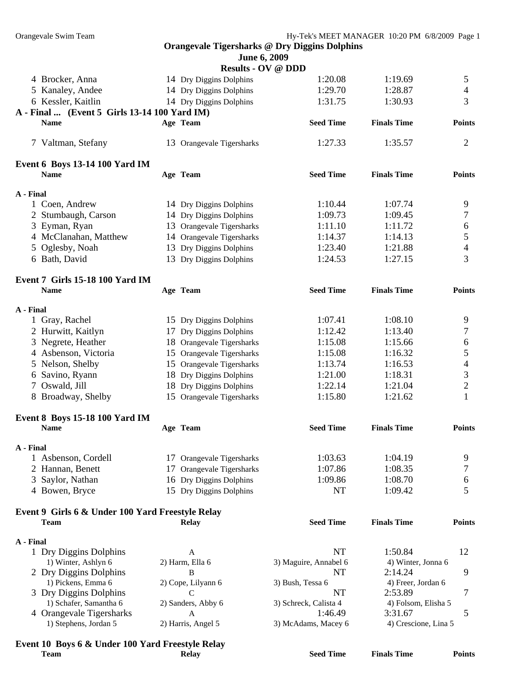| June 6, 2009 |  |  |
|--------------|--|--|
|--------------|--|--|

|           |                                                  |    | JUNU V, ZVVI<br><b>Results - OV @ DDD</b> |                               |                               |                  |
|-----------|--------------------------------------------------|----|-------------------------------------------|-------------------------------|-------------------------------|------------------|
|           | 4 Brocker, Anna                                  |    | 14 Dry Diggins Dolphins                   | 1:20.08                       | 1:19.69                       | 5                |
|           | 5 Kanaley, Andee                                 |    | 14 Dry Diggins Dolphins                   | 1:29.70                       | 1:28.87                       | $\overline{4}$   |
|           | 6 Kessler, Kaitlin                               |    | 14 Dry Diggins Dolphins                   | 1:31.75                       | 1:30.93                       | 3                |
|           | A - Final  (Event 5 Girls 13-14 100 Yard IM)     |    |                                           |                               |                               |                  |
|           | <b>Name</b>                                      |    | Age Team                                  | <b>Seed Time</b>              | <b>Finals Time</b>            | <b>Points</b>    |
|           | 7 Valtman, Stefany                               |    | 13 Orangevale Tigersharks                 | 1:27.33                       | 1:35.57                       | 2                |
|           | Event 6 Boys 13-14 100 Yard IM                   |    |                                           |                               |                               |                  |
|           | <b>Name</b>                                      |    | Age Team                                  | <b>Seed Time</b>              | <b>Finals Time</b>            | <b>Points</b>    |
| A - Final |                                                  |    |                                           |                               |                               |                  |
|           | 1 Coen, Andrew                                   |    | 14 Dry Diggins Dolphins                   | 1:10.44                       | 1:07.74                       | 9                |
|           | 2 Stumbaugh, Carson                              |    | 14 Dry Diggins Dolphins                   | 1:09.73                       | 1:09.45                       | $\boldsymbol{7}$ |
|           | 3 Eyman, Ryan                                    |    | 13 Orangevale Tigersharks                 | 1:11.10                       | 1:11.72                       | 6                |
|           | 4 McClanahan, Matthew                            |    | 14 Orangevale Tigersharks                 | 1:14.37                       | 1:14.13                       | 5                |
|           | 5 Oglesby, Noah                                  |    | 13 Dry Diggins Dolphins                   | 1:23.40                       | 1:21.88                       | 4                |
|           | 6 Bath, David                                    |    | 13 Dry Diggins Dolphins                   | 1:24.53                       | 1:27.15                       | 3                |
|           | <b>Event 7 Girls 15-18 100 Yard IM</b>           |    |                                           |                               |                               |                  |
|           | <b>Name</b>                                      |    | Age Team                                  | <b>Seed Time</b>              | <b>Finals Time</b>            | <b>Points</b>    |
| A - Final |                                                  |    |                                           |                               |                               |                  |
|           | 1 Gray, Rachel                                   |    | 15 Dry Diggins Dolphins                   | 1:07.41                       | 1:08.10                       | 9                |
|           | 2 Hurwitt, Kaitlyn                               |    | 17 Dry Diggins Dolphins                   | 1:12.42                       | 1:13.40                       | 7                |
|           | 3 Negrete, Heather                               |    | 18 Orangevale Tigersharks                 | 1:15.08                       | 1:15.66                       | 6                |
|           | 4 Asbenson, Victoria                             |    | 15 Orangevale Tigersharks                 | 1:15.08                       | 1:16.32                       | 5                |
|           | 5 Nelson, Shelby                                 |    | 15 Orangevale Tigersharks                 | 1:13.74                       | 1:16.53                       | $\overline{4}$   |
|           | 6 Savino, Ryann                                  |    | 18 Dry Diggins Dolphins                   | 1:21.00                       | 1:18.31                       | 3                |
|           | 7 Oswald, Jill                                   |    | 18 Dry Diggins Dolphins                   | 1:22.14                       | 1:21.04                       | $\overline{c}$   |
|           | 8 Broadway, Shelby                               |    | 15 Orangevale Tigersharks                 | 1:15.80                       | 1:21.62                       | 1                |
|           | <b>Event 8 Boys 15-18 100 Yard IM</b>            |    |                                           |                               |                               |                  |
|           | <b>Name</b>                                      |    | Age Team                                  | <b>Seed Time</b>              | <b>Finals Time</b>            | <b>Points</b>    |
| A - Final |                                                  |    |                                           |                               |                               |                  |
|           | 1 Asbenson, Cordell                              |    | 17 Orangevale Tigersharks                 | 1:03.63                       | 1:04.19                       | 9                |
|           | 2 Hannan, Benett                                 | 17 | Orangevale Tigersharks                    | 1:07.86                       | 1:08.35                       | 7                |
| 3         | Saylor, Nathan                                   |    | 16 Dry Diggins Dolphins                   | 1:09.86                       | 1:08.70                       | 6                |
|           | 4 Bowen, Bryce                                   |    | 15 Dry Diggins Dolphins                   | <b>NT</b>                     | 1:09.42                       | 5                |
|           | Event 9 Girls 6 & Under 100 Yard Freestyle Relay |    |                                           |                               |                               |                  |
|           | <b>Team</b>                                      |    | <b>Relay</b>                              | <b>Seed Time</b>              | <b>Finals Time</b>            | <b>Points</b>    |
| A - Final |                                                  |    |                                           |                               |                               |                  |
|           | 1 Dry Diggins Dolphins                           |    | A                                         | <b>NT</b>                     | 1:50.84                       | 12               |
|           | 1) Winter, Ashlyn 6                              |    | 2) Harm, Ella 6                           | 3) Maguire, Annabel 6         | 4) Winter, Jonna 6            |                  |
|           | 2 Dry Diggins Dolphins<br>1) Pickens, Emma 6     |    | B                                         | NT                            | 2:14.24                       | 9                |
|           | 3 Dry Diggins Dolphins                           |    | 2) Cope, Lilyann 6<br>C                   | 3) Bush, Tessa 6<br><b>NT</b> | 4) Freer, Jordan 6<br>2:53.89 | 7                |
|           | 1) Schafer, Samantha 6                           |    | 2) Sanders, Abby 6                        | 3) Schreck, Calista 4         | 4) Folsom, Elisha 5           |                  |
|           | 4 Orangevale Tigersharks                         |    | A                                         | 1:46.49                       | 3:31.67                       | 5                |
|           | 1) Stephens, Jordan 5                            |    | 2) Harris, Angel 5                        | 3) McAdams, Macey 6           | 4) Crescione, Lina 5          |                  |
|           |                                                  |    |                                           |                               |                               |                  |

# **Event 10 Boys 6 & Under 100 Yard Freestyle Relay**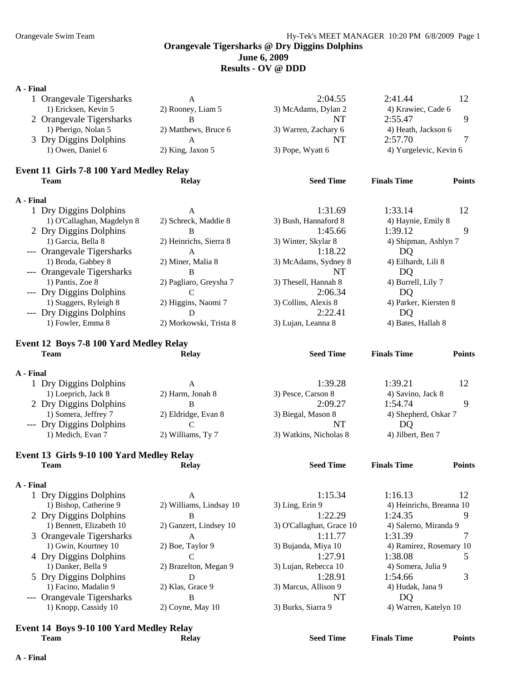### **June 6, 2009**

**Results - OV @ DDD** 

## **A - Final**

| А - гшаі  |                                           |                         |                          |                          |               |
|-----------|-------------------------------------------|-------------------------|--------------------------|--------------------------|---------------|
|           | 1 Orangevale Tigersharks                  | A                       | 2:04.55                  | 2:41.44                  | 12            |
|           | 1) Ericksen, Kevin 5                      | 2) Rooney, Liam 5       | 3) McAdams, Dylan 2      | 4) Krawiec, Cade 6       |               |
|           | 2 Orangevale Tigersharks                  | B                       | <b>NT</b>                | 2:55.47                  | 9             |
|           | 1) Pherigo, Nolan 5                       | 2) Matthews, Bruce 6    | 3) Warren, Zachary 6     | 4) Heath, Jackson 6      |               |
|           | 3 Dry Diggins Dolphins                    | A                       | <b>NT</b>                | 2:57.70                  | 7             |
|           | 1) Owen, Daniel 6                         | 2) King, Jaxon 5        | 3) Pope, Wyatt 6         | 4) Yurgelevic, Kevin 6   |               |
|           | Event 11 Girls 7-8 100 Yard Medley Relay  |                         |                          |                          |               |
|           | <b>Team</b>                               | <b>Relay</b>            | <b>Seed Time</b>         | <b>Finals Time</b>       | <b>Points</b> |
| A - Final |                                           |                         |                          |                          |               |
|           | 1 Dry Diggins Dolphins                    | A                       | 1:31.69                  | 1:33.14                  | 12            |
|           | 1) O'Callaghan, Magdelyn 8                | 2) Schreck, Maddie 8    | 3) Bush, Hannaford 8     | 4) Haynie, Emily 8       |               |
|           | 2 Dry Diggins Dolphins                    | B                       | 1:45.66                  | 1:39.12                  | 9             |
|           | 1) Garcia, Bella 8                        | 2) Heinrichs, Sierra 8  | 3) Winter, Skylar 8      | 4) Shipman, Ashlyn 7     |               |
|           | --- Orangevale Tigersharks                | A                       | 1:18.22                  | DQ                       |               |
|           | 1) Broda, Gabbey 8                        | 2) Miner, Malia 8       | 3) McAdams, Sydney 8     | 4) Eilhardt, Lili 8      |               |
|           | --- Orangevale Tigersharks                | B                       | NT                       | DQ                       |               |
|           | 1) Pantis, Zoe 8                          | 2) Pagliaro, Greysha 7  | 3) Thesell, Hannah 8     | 4) Burrell, Lily 7       |               |
|           | --- Dry Diggins Dolphins                  | C                       | 2:06.34                  | DQ                       |               |
|           | 1) Staggers, Ryleigh 8                    | 2) Higgins, Naomi 7     | 3) Collins, Alexis 8     | 4) Parker, Kiersten 8    |               |
|           | --- Dry Diggins Dolphins                  | D                       | 2:22.41                  | DQ                       |               |
|           | 1) Fowler, Emma 8                         | 2) Morkowski, Trista 8  | 3) Lujan, Leanna 8       | 4) Bates, Hallah 8       |               |
|           | Event 12 Boys 7-8 100 Yard Medley Relay   |                         |                          |                          |               |
|           | <b>Team</b>                               | <b>Relay</b>            | <b>Seed Time</b>         | <b>Finals Time</b>       | <b>Points</b> |
| A - Final |                                           |                         |                          |                          |               |
|           | 1 Dry Diggins Dolphins                    | A                       | 1:39.28                  | 1:39.21                  | 12            |
|           | 1) Loeprich, Jack 8                       | 2) Harm, Jonah 8        | 3) Pesce, Carson 8       | 4) Savino, Jack 8        |               |
|           | 2 Dry Diggins Dolphins                    | B                       | 2:09.27                  | 1:54.74                  | 9             |
|           | 1) Somera, Jeffrey 7                      | 2) Eldridge, Evan 8     | 3) Biegal, Mason 8       | 4) Shepherd, Oskar 7     |               |
|           | --- Dry Diggins Dolphins                  | C                       | NT                       | <b>DQ</b>                |               |
|           | 1) Medich, Evan 7                         | 2) Williams, Ty 7       | 3) Watkins, Nicholas 8   | 4) Jilbert, Ben 7        |               |
|           | Event 13 Girls 9-10 100 Yard Medley Relay |                         |                          |                          |               |
|           | <b>Team</b>                               | <b>Relay</b>            | <b>Seed Time</b>         | <b>Finals Time</b>       | <b>Points</b> |
| A - Final |                                           |                         |                          |                          |               |
|           | 1 Dry Diggins Dolphins                    | A                       | 1:15.34                  | 1:16.13                  | 12            |
|           | 1) Bishop, Catherine 9                    | 2) Williams, Lindsay 10 | 3) Ling, Erin 9          | 4) Heinrichs, Breanna 10 |               |
|           | 2 Dry Diggins Dolphins                    | B                       | 1:22.29                  | 1:24.35                  | 9             |
|           | 1) Bennett, Elizabeth 10                  | 2) Ganzert, Lindsey 10  | 3) O'Callaghan, Grace 10 | 4) Salerno, Miranda 9    |               |

- 3 Orangevale Tigersharks A 1:11.77 1:31.39 7 1) Gwin, Kourtney 10 2) Boe, Taylor 9 3) Bujanda, Miya 10 4) Ramirez, Rosemary 10 4 Dry Diggins Dolphins C C 1:27.91 1:38.08 5 1) Danker, Bella 9 2) Brazelton, Megan 9 3) Lujan, Rebecca 10 4) Somera, Julia 9 5 Dry Diggins Dolphins D<br>
1) Facino, Madalin 9 2) Klas, Grace 9 3) Marcus, Allison 9 4) Hudak, Jana 9 3
- --- Orangevale Tigersharks B B NT DQ
	- 3) Marcus, Allison 9 1) Knopp, Cassidy 10 2) Coyne, May 10 3) Burks, Siarra 9 4) Warren, Katelyn 10

## **Event 14 Boys 9-10 100 Yard Medley Relay**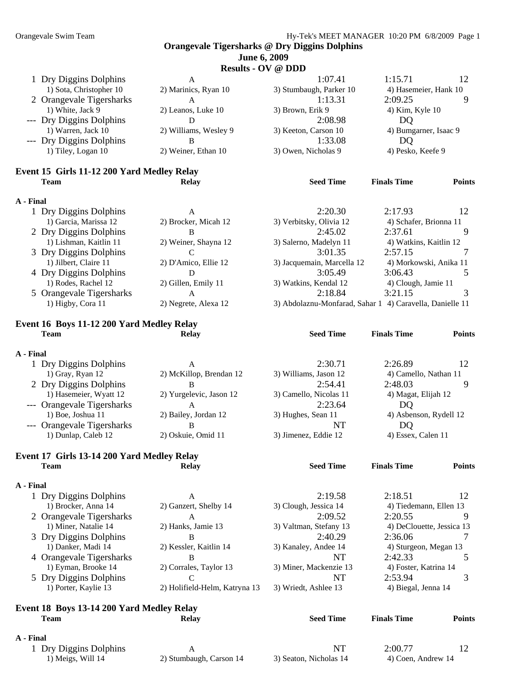#### **June 6, 2009**   $\alpha V \otimes \mathbf{D} \mathbf{D}$

|           |                                            |                       | $\textbf{Results} - \textbf{OV} \otimes \textbf{DDD}$    |                        |               |
|-----------|--------------------------------------------|-----------------------|----------------------------------------------------------|------------------------|---------------|
|           | 1 Dry Diggins Dolphins                     | A                     | 1:07.41                                                  | 1:15.71                | 12            |
|           | 1) Sota, Christopher 10                    | 2) Marinics, Ryan 10  | 3) Stumbaugh, Parker 10                                  | 4) Hasemeier, Hank 10  |               |
|           | 2 Orangevale Tigersharks                   | $\mathsf{A}$          | 1:13.31                                                  | 2:09.25                | 9             |
|           | 1) White, Jack 9                           | 2) Leanos, Luke 10    | 3) Brown, Erik 9                                         | 4) Kim, Kyle 10        |               |
|           | --- Dry Diggins Dolphins                   | D                     | 2:08.98                                                  | DQ                     |               |
|           | 1) Warren, Jack 10                         | 2) Williams, Wesley 9 | 3) Keeton, Carson 10                                     | 4) Bumgarner, Isaac 9  |               |
|           | --- Dry Diggins Dolphins                   | B                     | 1:33.08                                                  | DQ                     |               |
|           | 1) Tiley, Logan 10                         | 2) Weiner, Ethan 10   | 3) Owen, Nicholas 9                                      | 4) Pesko, Keefe 9      |               |
|           | Event 15 Girls 11-12 200 Yard Medley Relay |                       |                                                          |                        |               |
|           | <b>Team</b>                                | <b>Relay</b>          | <b>Seed Time</b>                                         | <b>Finals Time</b>     | <b>Points</b> |
| A - Final |                                            |                       |                                                          |                        |               |
|           | 1 Dry Diggins Dolphins                     | $\mathsf{A}$          | 2:20.30                                                  | 2:17.93                | 12            |
|           | 1) Garcia, Marissa 12                      | 2) Brocker, Micah 12  | 3) Verbitsky, Olivia 12                                  | 4) Schafer, Brionna 11 |               |
|           | 2 Dry Diggins Dolphins                     | B                     | 2:45.02                                                  | 2:37.61                | 9             |
|           | 1) Lishman, Kaitlin 11                     | 2) Weiner, Shayna 12  | 3) Salerno, Madelyn 11                                   | 4) Watkins, Kaitlin 12 |               |
|           | 3 Dry Diggins Dolphins                     | $\mathcal{C}$         | 3:01.35                                                  | 2:57.15                |               |
|           | 1) Jilbert, Claire 11                      | 2) D'Amico, Ellie 12  | 3) Jacquemain, Marcella 12                               | 4) Morkowski, Anika 11 |               |
|           | 4 Dry Diggins Dolphins                     | D                     | 3:05.49                                                  | 3:06.43                | 5             |
|           | 1) Rodes, Rachel 12                        | 2) Gillen, Emily 11   | 3) Watkins, Kendal 12                                    | 4) Clough, Jamie 11    |               |
|           | 5 Orangevale Tigersharks                   | $\mathsf{A}$          | 2:18.84                                                  | 3:21.15                | 3             |
|           | 1) Higby, Cora 11                          | 2) Negrete, Alexa 12  | 3) Abdolaznu-Monfarad, Sahar 1 4) Caravella, Danielle 11 |                        |               |
|           |                                            |                       |                                                          |                        |               |

#### **Event 16 Boys 11-12 200 Yard Medley Relay Team Relay Seed Time Finals Time Points**

### **A - Final**  1 Dry Diggins Dolphins A 2:30.71 2:26.89 12 1) Gray, Ryan 12 2) McKillop, Brendan 12 3) Williams, Jason 12 4) Camello, Nathan 11 2 Dry Diggins Dolphins B<br>
2) Yurgelevic, Jason 12 3) Camello, Nicolas 11 4) Magat, Elijah 12 3 1) Hasemeier, Wyatt 12 2) Yurgelevic, Jason 12 3) Camello, Nicolas 11 --- Orangevale Tigersharks A 2:23.64 DQ 1) Boe, Joshua 11 2) Bailey, Jordan 12 3) Hughes, Sean 11 4) Asbenson, Rydell 12 --- Orangevale Tigersharks B<br>
1) Dunlap, Caleb 12 2) Oskuie, Omid 11 3) Jimenez, Eddie 12 4) Essex 2) Oskuie, Omid 11 3) Jimenez, Eddie 12 4) Essex, Calen 11

#### **Event 17 Girls 13-14 200 Yard Medley Relay Team Relay Seed Time Finals Time Points**

#### **A - Final**

| 1 Dry Diggins Dolphins   | А                             | 2:19.58                | 2:18.51                   |
|--------------------------|-------------------------------|------------------------|---------------------------|
| 1) Brocker, Anna 14      | 2) Ganzert, Shelby 14         | 3) Clough, Jessica 14  | 4) Tiedemann, Ellen 13    |
| 2 Orangevale Tigersharks | A                             | 2:09.52                | 2:20.55                   |
| 1) Miner, Natalie 14     | 2) Hanks, Jamie 13            | 3) Valtman, Stefany 13 | 4) DeClouette, Jessica 13 |
| 3 Dry Diggins Dolphins   | B                             | 2:40.29                | 2:36.06                   |
| 1) Danker, Madi 14       | 2) Kessler, Kaitlin 14        | 3) Kanaley, Andee 14   | 4) Sturgeon, Megan 13     |
| 4 Orangevale Tigersharks | B                             | NT                     | 2:42.33                   |
| 1) Eyman, Brooke 14      | 2) Corrales, Taylor 13        | 3) Miner, Mackenzie 13 | 4) Foster, Katrina 14     |
| 5 Dry Diggins Dolphins   |                               | NT                     | 2:53.94                   |
| 1) Porter, Kaylie 13     | 2) Holifield-Helm, Katryna 13 | 3) Wriedt, Ashlee 13   | 4) Biegal, Jenna 14       |
|                          |                               |                        |                           |

#### **Event 18 Boys 13-14 200 Yard Medley Relay Team Relay Seed Time Finals Time Points**

#### **A - Final**

1 Dry Diggins Dolphins A NT 2:00.77 12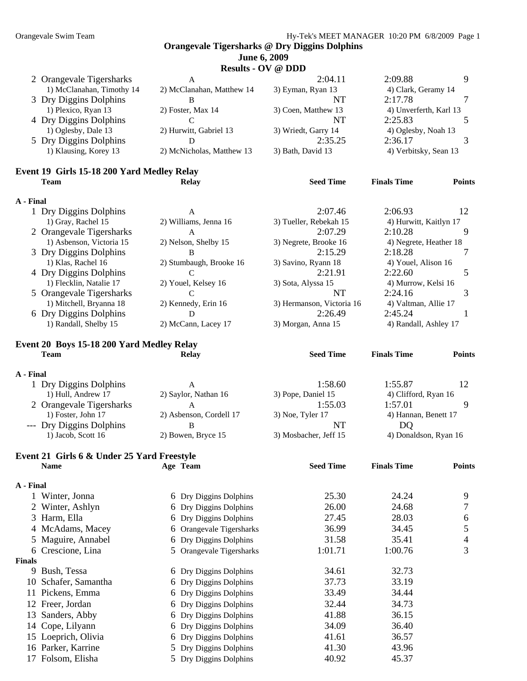## **Results - OV @ DDD**

| 2 Orangevale Tigersharks  | A                         | 2:04.11             | 2:09.88                |  |
|---------------------------|---------------------------|---------------------|------------------------|--|
| 1) McClanahan, Timothy 14 | 2) McClanahan, Matthew 14 | 3) Eyman, Ryan 13   | 4) Clark, Geramy 14    |  |
| 3 Dry Diggins Dolphins    |                           | NT                  | 2:17.78                |  |
| 1) Plexico, Ryan 13       | $2)$ Foster, Max 14       | 3) Coen, Matthew 13 | 4) Unverferth, Karl 13 |  |
| 4 Dry Diggins Dolphins    |                           | NT                  | 2:25.83                |  |
| 1) Oglesby, Dale 13       | 2) Hurwitt, Gabriel 13    | 3) Wriedt, Garry 14 | 4) Oglesby, Noah 13    |  |
| 5 Dry Diggins Dolphins    |                           | 2:35.25             | 2:36.17                |  |
| 1) Klausing, Korey 13     | 2) McNicholas, Matthew 13 | 3) Bath, David 13   | 4) Verbitsky, Sean 13  |  |
|                           |                           |                     |                        |  |

#### **Event 19 Girls 15-18 200 Yard Medley Relay Team Relay Seed Time Finals Time Points**

#### **A - Final**

| 1 Dry Diggins Dolphins   | A                       | 2:07.46                   | 2:06.93                | 12 |
|--------------------------|-------------------------|---------------------------|------------------------|----|
| 1) Gray, Rachel 15       | 2) Williams, Jenna 16   | 3) Tueller, Rebekah 15    | 4) Hurwitt, Kaitlyn 17 |    |
| 2 Orangevale Tigersharks | A                       | 2:07.29                   | 2:10.28                |    |
| 1) Asbenson, Victoria 15 | 2) Nelson, Shelby 15    | 3) Negrete, Brooke 16     | 4) Negrete, Heather 18 |    |
| 3 Dry Diggins Dolphins   | в                       | 2:15.29                   | 2:18.28                |    |
| 1) Klas, Rachel 16       | 2) Stumbaugh, Brooke 16 | 3) Savino, Ryann 18       | 4) Youel, Alison 16    |    |
| 4 Dry Diggins Dolphins   |                         | 2:21.91                   | 2:22.60                |    |
| 1) Flecklin, Natalie 17  | 2) Youel, Kelsey 16     | 3) Sota, Alyssa 15        | 4) Murrow, Kelsi 16    |    |
| 5 Orangevale Tigersharks |                         | NT                        | 2:24.16                |    |
| 1) Mitchell, Bryanna 18  | 2) Kennedy, Erin 16     | 3) Hermanson, Victoria 16 | 4) Valtman, Allie 17   |    |
| 6 Dry Diggins Dolphins   |                         | 2:26.49                   | 2:45.24                |    |
| 1) Randall, Shelby 15    | 2) McCann, Lacey 17     | 3) Morgan, Anna 15        | 4) Randall, Ashley 17  |    |

## **Event 20 Boys 15-18 200 Yard Medley Relay Team Relay Seed Time Finals Time Points**

#### **A - Final**

| 1 Dry Diggins Dolphins   |                         | 1:58.60               | 1:55.87               |  |
|--------------------------|-------------------------|-----------------------|-----------------------|--|
| 1) Hull, Andrew 17       | 2) Saylor, Nathan 16    | 3) Pope, Daniel 15    | 4) Clifford, Ryan 16  |  |
| 2 Orangevale Tigersharks |                         | 1:55.03               | 1:57.01               |  |
| 1) Foster, John 17       | 2) Asbenson, Cordell 17 | $3)$ Noe, Tyler 17    | 4) Hannan, Benett 17  |  |
| --- Dry Diggins Dolphins |                         | NT                    | DO                    |  |
| 1) Jacob, Scott 16       | 2) Bowen, Bryce 15      | 3) Mosbacher, Jeff 15 | 4) Donaldson, Ryan 16 |  |

#### **Event 21 Girls 6 & Under 25 Yard Freestyle Name Age Team Seed Time Finals Time Points**

## **A - Final**

|               | Winter, Jonna        | 6 Dry Diggins Dolphins   | 25.30   | 24.24   | 9              |
|---------------|----------------------|--------------------------|---------|---------|----------------|
|               | 2 Winter, Ashlyn     | 6 Dry Diggins Dolphins   | 26.00   | 24.68   | $\tau$         |
|               | 3 Harm, Ella         | 6 Dry Diggins Dolphins   | 27.45   | 28.03   | 6              |
|               | 4 McAdams, Macey     | 6 Orangevale Tigersharks | 36.99   | 34.45   | 5              |
|               | 5 Maguire, Annabel   | 6 Dry Diggins Dolphins   | 31.58   | 35.41   | $\overline{4}$ |
|               | 6 Crescione, Lina    | 5 Orangevale Tigersharks | 1:01.71 | 1:00.76 | 3              |
| <b>Finals</b> |                      |                          |         |         |                |
| 9.            | Bush, Tessa          | 6 Dry Diggins Dolphins   | 34.61   | 32.73   |                |
|               | 10 Schafer, Samantha | 6 Dry Diggins Dolphins   | 37.73   | 33.19   |                |
|               | 11 Pickens, Emma     | 6 Dry Diggins Dolphins   | 33.49   | 34.44   |                |
|               | 12 Freer, Jordan     | 6 Dry Diggins Dolphins   | 32.44   | 34.73   |                |
|               | 13 Sanders, Abby     | 6 Dry Diggins Dolphins   | 41.88   | 36.15   |                |
|               | 14 Cope, Lilyann     | 6 Dry Diggins Dolphins   | 34.09   | 36.40   |                |
|               | 15 Loeprich, Olivia  | 6 Dry Diggins Dolphins   | 41.61   | 36.57   |                |
|               | 16 Parker, Karrine   | 5 Dry Diggins Dolphins   | 41.30   | 43.96   |                |
|               | 17 Folsom, Elisha    | 5 Dry Diggins Dolphins   | 40.92   | 45.37   |                |
|               |                      |                          |         |         |                |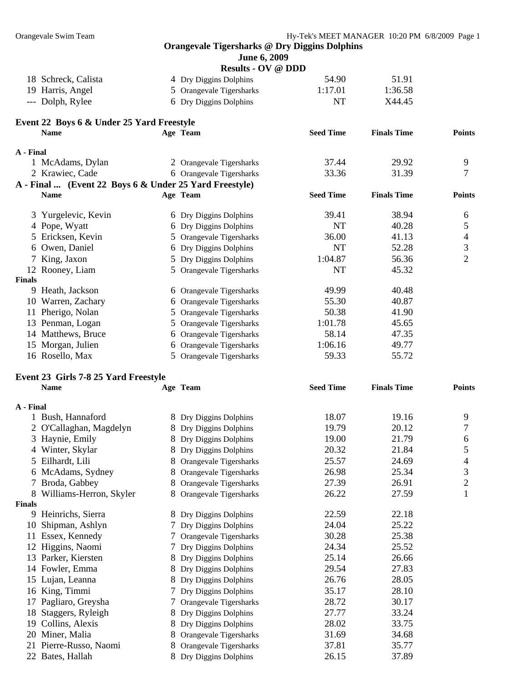|  | June 6, 2009 |
|--|--------------|
|--|--------------|

|                     | <b>Results - OV @ DDD</b> |         |         |
|---------------------|---------------------------|---------|---------|
| 18 Schreck, Calista | 4 Dry Diggins Dolphins    | 54.90   | 51.91   |
| 19 Harris, Angel    | 5 Orangevale Tigersharks  | 1:17.01 | 1:36.58 |
| --- Dolph, Rylee    | 6 Dry Diggins Dolphins    | NT      | X44.45  |

## **Event 22 Boys 6 & Under 25 Yard Freestyle**

|               | <b>Name</b>                                            | Age Team                 | <b>Seed Time</b> | <b>Finals Time</b> | <b>Points</b> |
|---------------|--------------------------------------------------------|--------------------------|------------------|--------------------|---------------|
| A - Final     |                                                        |                          |                  |                    |               |
|               | 1 McAdams, Dylan                                       | 2 Orangevale Tigersharks | 37.44            | 29.92              | 9             |
|               | 2 Krawiec, Cade                                        | 6 Orangevale Tigersharks | 33.36            | 31.39              | 7             |
|               | A - Final  (Event 22 Boys 6 & Under 25 Yard Freestyle) |                          |                  |                    |               |
|               | <b>Name</b>                                            | Age Team                 | <b>Seed Time</b> | <b>Finals Time</b> | <b>Points</b> |
|               | 3 Yurgelevic, Kevin                                    | 6 Dry Diggins Dolphins   | 39.41            | 38.94              | 6             |
|               | 4 Pope, Wyatt                                          | 6 Dry Diggins Dolphins   | <b>NT</b>        | 40.28              | 5             |
|               | 5 Ericksen, Kevin                                      | 5 Orangevale Tigersharks | 36.00            | 41.13              | 4             |
|               | 6 Owen, Daniel                                         | 6 Dry Diggins Dolphins   | NT               | 52.28              | 3             |
| 7             | King, Jaxon                                            | 5 Dry Diggins Dolphins   | 1:04.87          | 56.36              | 2             |
|               | 12 Rooney, Liam                                        | 5 Orangevale Tigersharks | <b>NT</b>        | 45.32              |               |
| <b>Finals</b> |                                                        |                          |                  |                    |               |
| 9             | Heath, Jackson                                         | 6 Orangevale Tigersharks | 49.99            | 40.48              |               |
|               | 10 Warren, Zachary                                     | 6 Orangevale Tigersharks | 55.30            | 40.87              |               |
| 11            | Pherigo, Nolan                                         | 5 Orangevale Tigersharks | 50.38            | 41.90              |               |
|               | 13 Penman, Logan                                       | 5 Orangevale Tigersharks | 1:01.78          | 45.65              |               |
|               | 14 Matthews, Bruce                                     | 6 Orangevale Tigersharks | 58.14            | 47.35              |               |
|               | 15 Morgan, Julien                                      | 6 Orangevale Tigersharks | 1:06.16          | 49.77              |               |
|               | 16 Rosello, Max                                        | 5 Orangevale Tigersharks | 59.33            | 55.72              |               |

## **Event 23 Girls 7-8 25 Yard Freestyle**

|               | <b>Name</b>             |   | Age Team                 | <b>Seed Time</b> | <b>Finals Time</b> | <b>Points</b>  |
|---------------|-------------------------|---|--------------------------|------------------|--------------------|----------------|
| A - Final     |                         |   |                          |                  |                    |                |
|               | 1 Bush, Hannaford       |   | 8 Dry Diggins Dolphins   | 18.07            | 19.16              | 9              |
|               | O'Callaghan, Magdelyn   |   | 8 Dry Diggins Dolphins   | 19.79            | 20.12              | 7              |
|               | 3 Haynie, Emily         |   | Dry Diggins Dolphins     | 19.00            | 21.79              | 6              |
|               | 4 Winter, Skylar        | 8 | Dry Diggins Dolphins     | 20.32            | 21.84              | 5              |
| 5.            | Eilhardt, Lili          |   | Orangevale Tigersharks   | 25.57            | 24.69              | 4              |
|               | 6 McAdams, Sydney       | 8 | Orangevale Tigersharks   | 26.98            | 25.34              | 3              |
| 7             | Broda, Gabbey           |   | Orangevale Tigersharks   | 27.39            | 26.91              | $\overline{2}$ |
| 8             | Williams-Herron, Skyler |   | Orangevale Tigersharks   | 26.22            | 27.59              | 1              |
| <b>Finals</b> |                         |   |                          |                  |                    |                |
| 9             | Heinrichs, Sierra       |   | 8 Dry Diggins Dolphins   | 22.59            | 22.18              |                |
| 10            | Shipman, Ashlyn         |   | 7 Dry Diggins Dolphins   | 24.04            | 25.22              |                |
| 11            | Essex, Kennedy          |   | 7 Orangevale Tigersharks | 30.28            | 25.38              |                |
|               | 12 Higgins, Naomi       |   | 7 Dry Diggins Dolphins   | 24.34            | 25.52              |                |
|               | 13 Parker, Kiersten     |   | 8 Dry Diggins Dolphins   | 25.14            | 26.66              |                |
|               | 14 Fowler, Emma         |   | 8 Dry Diggins Dolphins   | 29.54            | 27.83              |                |
|               | 15 Lujan, Leanna        | 8 | Dry Diggins Dolphins     | 26.76            | 28.05              |                |
|               | 16 King, Timmi          |   | 7 Dry Diggins Dolphins   | 35.17            | 28.10              |                |
| 17            | Pagliaro, Greysha       |   | 7 Orangevale Tigersharks | 28.72            | 30.17              |                |
|               | 18 Staggers, Ryleigh    | 8 | Dry Diggins Dolphins     | 27.77            | 33.24              |                |
| 19.           | Collins, Alexis         |   | Dry Diggins Dolphins     | 28.02            | 33.75              |                |
|               | 20 Miner, Malia         | 8 | Orangevale Tigersharks   | 31.69            | 34.68              |                |
|               | 21 Pierre-Russo, Naomi  |   | Orangevale Tigersharks   | 37.81            | 35.77              |                |
|               | 22 Bates, Hallah        | 8 | Dry Diggins Dolphins     | 26.15            | 37.89              |                |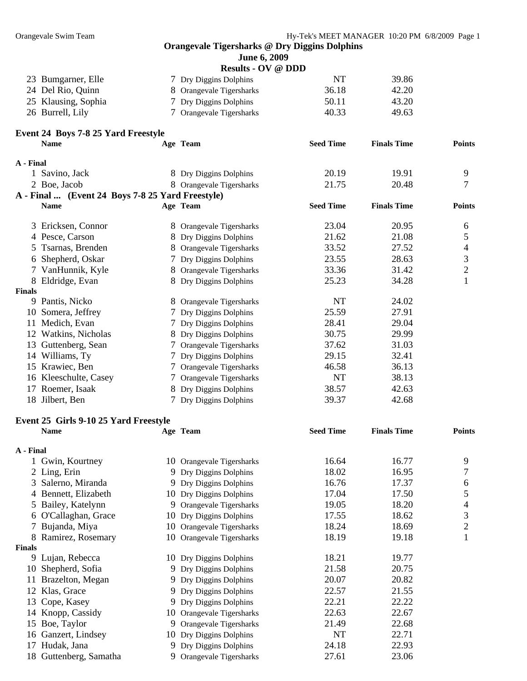**Event 24 Boys 7-8 25 Yard Freestyle** 

#### **Orangevale Tigersharks @ Dry Diggins Dolphins**

| <b>June 6, 2009</b> |
|---------------------|
|                     |

| <b>Results - OV @ DDD</b> |  |  |
|---------------------------|--|--|
|---------------------------|--|--|

| 23 Bumgarner, Elle  | 7 Dry Diggins Dolphins   | NT    | 39.86 |
|---------------------|--------------------------|-------|-------|
| 24 Del Rio, Quinn   | 8 Orangevale Tigersharks | 36.18 | 42.20 |
| 25 Klausing, Sophia | 7 Dry Diggins Dolphins   | 50.11 | 43.20 |
| 26 Burrell, Lily    | 7 Orangevale Tigersharks | 40.33 | 49.63 |

|               | <b>Name</b>                                      |   | Age Team                 | <b>Seed Time</b> | <b>Finals Time</b> | <b>Points</b>  |
|---------------|--------------------------------------------------|---|--------------------------|------------------|--------------------|----------------|
| A - Final     |                                                  |   |                          |                  |                    |                |
|               | 1 Savino, Jack                                   |   | 8 Dry Diggins Dolphins   | 20.19            | 19.91              | 9              |
|               | 2 Boe, Jacob                                     |   | 8 Orangevale Tigersharks | 21.75            | 20.48              | $\overline{7}$ |
|               | A - Final  (Event 24 Boys 7-8 25 Yard Freestyle) |   |                          |                  |                    |                |
|               | <b>Name</b>                                      |   | Age Team                 | <b>Seed Time</b> | <b>Finals Time</b> | <b>Points</b>  |
|               | 3 Ericksen, Connor                               |   | 8 Orangevale Tigersharks | 23.04            | 20.95              | 6              |
|               | 4 Pesce, Carson                                  | 8 | Dry Diggins Dolphins     | 21.62            | 21.08              | 5              |
|               | 5 Tsarnas, Brenden                               |   | Orangevale Tigersharks   | 33.52            | 27.52              | 4              |
|               | 6 Shepherd, Oskar                                |   | 7 Dry Diggins Dolphins   | 23.55            | 28.63              | 3              |
|               | 7 VanHunnik, Kyle                                | 8 | Orangevale Tigersharks   | 33.36            | 31.42              | $\overline{2}$ |
|               | 8 Eldridge, Evan                                 | 8 | Dry Diggins Dolphins     | 25.23            | 34.28              | 1              |
| <b>Finals</b> |                                                  |   |                          |                  |                    |                |
|               | 9 Pantis, Nicko                                  |   | 8 Orangevale Tigersharks | <b>NT</b>        | 24.02              |                |
| 10            | Somera, Jeffrey                                  |   | 7 Dry Diggins Dolphins   | 25.59            | 27.91              |                |
| 11            | Medich, Evan                                     |   | 7 Dry Diggins Dolphins   | 28.41            | 29.04              |                |
| 12            | Watkins, Nicholas                                | 8 | Dry Diggins Dolphins     | 30.75            | 29.99              |                |
| 13            | Guttenberg, Sean                                 |   | 7 Orangevale Tigersharks | 37.62            | 31.03              |                |
|               | 14 Williams, Ty                                  |   | 7 Dry Diggins Dolphins   | 29.15            | 32.41              |                |
|               | 15 Krawiec, Ben                                  |   | 7 Orangevale Tigersharks | 46.58            | 36.13              |                |
|               | 16 Kleeschulte, Casey                            |   | 7 Orangevale Tigersharks | <b>NT</b>        | 38.13              |                |
|               | 17 Roemer, Isaak                                 | 8 | Dry Diggins Dolphins     | 38.57            | 42.63              |                |
|               | 18 Jilbert, Ben                                  |   | 7 Dry Diggins Dolphins   | 39.37            | 42.68              |                |

## **Event 25 Girls 9-10 25 Yard Freestyle**

|               | <b>Name</b>            |    | Age Team                  | <b>Seed Time</b> | <b>Finals Time</b> | <b>Points</b> |
|---------------|------------------------|----|---------------------------|------------------|--------------------|---------------|
| A - Final     |                        |    |                           |                  |                    |               |
|               | Gwin, Kourtney         |    | 10 Orangevale Tigersharks | 16.64            | 16.77              | 9             |
|               | 2 Ling, Erin           |    | 9 Dry Diggins Dolphins    | 18.02            | 16.95              | 7             |
|               | 3 Salerno, Miranda     |    | 9 Dry Diggins Dolphins    | 16.76            | 17.37              | 6             |
|               | Bennett, Elizabeth     |    | 10 Dry Diggins Dolphins   | 17.04            | 17.50              | 5             |
|               | 5 Bailey, Katelynn     | 9. | Orangevale Tigersharks    | 19.05            | 18.20              | 4             |
| 6             | O'Callaghan, Grace     |    | 10 Dry Diggins Dolphins   | 17.55            | 18.62              | 3             |
|               | Bujanda, Miya          |    | 10 Orangevale Tigersharks | 18.24            | 18.69              | 2             |
| 8             | Ramirez, Rosemary      | 10 | Orangevale Tigersharks    | 18.19            | 19.18              |               |
| <b>Finals</b> |                        |    |                           |                  |                    |               |
|               | 9 Lujan, Rebecca       |    | 10 Dry Diggins Dolphins   | 18.21            | 19.77              |               |
| 10            | Shepherd, Sofia        |    | 9 Dry Diggins Dolphins    | 21.58            | 20.75              |               |
| 11            | Brazelton, Megan       |    | 9 Dry Diggins Dolphins    | 20.07            | 20.82              |               |
| 12            | Klas, Grace            |    | 9 Dry Diggins Dolphins    | 22.57            | 21.55              |               |
|               | 13 Cope, Kasey         |    | 9 Dry Diggins Dolphins    | 22.21            | 22.22              |               |
|               | 14 Knopp, Cassidy      | 10 | Orangevale Tigersharks    | 22.63            | 22.67              |               |
| 15            | Boe, Taylor            |    | 9 Orangevale Tigersharks  | 21.49            | 22.68              |               |
| 16            | Ganzert, Lindsey       |    | 10 Dry Diggins Dolphins   | <b>NT</b>        | 22.71              |               |
| 17            | Hudak, Jana            |    | 9 Dry Diggins Dolphins    | 24.18            | 22.93              |               |
|               | 18 Guttenberg, Samatha |    | 9 Orangevale Tigersharks  | 27.61            | 23.06              |               |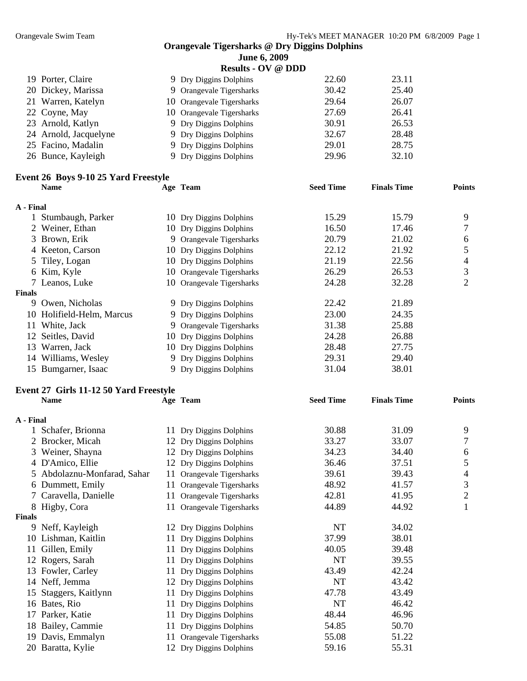| <b>June 6, 2009</b>                                   |
|-------------------------------------------------------|
| $\bf$ Posults - $\bf \Omega V$ @ $\bf \bf D\bf \bf D$ |

|                                                                                                                                                                          | 22.60                                                                                                                                                                                                                | 23.11                              |
|--------------------------------------------------------------------------------------------------------------------------------------------------------------------------|----------------------------------------------------------------------------------------------------------------------------------------------------------------------------------------------------------------------|------------------------------------|
|                                                                                                                                                                          | 30.42                                                                                                                                                                                                                | 25.40                              |
|                                                                                                                                                                          | 29.64                                                                                                                                                                                                                | 26.07                              |
|                                                                                                                                                                          | 27.69                                                                                                                                                                                                                | 26.41                              |
|                                                                                                                                                                          | 30.91                                                                                                                                                                                                                | 26.53                              |
|                                                                                                                                                                          | 32.67                                                                                                                                                                                                                | 28.48                              |
|                                                                                                                                                                          | 29.01                                                                                                                                                                                                                | 28.75                              |
|                                                                                                                                                                          | 29.96                                                                                                                                                                                                                | 32.10                              |
| 19 Porter, Claire<br>20 Dickey, Marissa<br>21 Warren, Katelyn<br>22 Coyne, May<br>23 Arnold, Katlyn<br>24 Arnold, Jacquelyne<br>25 Facino, Madalin<br>26 Bunce, Kayleigh | 9 Dry Diggins Dolphins<br>9 Orangevale Tigersharks<br>10 Orangevale Tigersharks<br>10 Orangevale Tigersharks<br>9 Dry Diggins Dolphins<br>9 Dry Diggins Dolphins<br>9 Dry Diggins Dolphins<br>9 Dry Diggins Dolphins | $\kappa$ esuits - $\sigma$ v w DDD |

## **Event 26 Boys 9-10 25 Yard Freestyle**

|               | <b>Name</b>               |    | Age Team                  | <b>Seed Time</b> | <b>Finals Time</b> | <b>Points</b> |
|---------------|---------------------------|----|---------------------------|------------------|--------------------|---------------|
| A - Final     |                           |    |                           |                  |                    |               |
|               | Stumbaugh, Parker         |    | 10 Dry Diggins Dolphins   | 15.29            | 15.79              | 9             |
|               | 2 Weiner, Ethan           |    | 10 Dry Diggins Dolphins   | 16.50            | 17.46              |               |
|               | 3 Brown, Erik             |    | 9 Orangevale Tigersharks  | 20.79            | 21.02              | 6             |
|               | 4 Keeton, Carson          |    | 10 Dry Diggins Dolphins   | 22.12            | 21.92              | 5             |
|               | 5 Tiley, Logan            |    | 10 Dry Diggins Dolphins   | 21.19            | 22.56              | 4             |
|               | 6 Kim, Kyle               |    | 10 Orangevale Tigersharks | 26.29            | 26.53              | 3             |
|               | 7 Leanos, Luke            |    | 10 Orangevale Tigersharks | 24.28            | 32.28              | 2             |
| <b>Finals</b> |                           |    |                           |                  |                    |               |
| 9             | Owen, Nicholas            |    | 9 Dry Diggins Dolphins    | 22.42            | 21.89              |               |
|               | 10 Holifield-Helm, Marcus |    | 9 Dry Diggins Dolphins    | 23.00            | 24.35              |               |
| 11            | White, Jack               |    | 9 Orangevale Tigersharks  | 31.38            | 25.88              |               |
|               | 12 Seitles, David         | 10 | Dry Diggins Dolphins      | 24.28            | 26.88              |               |
| 13            | Warren, Jack              |    | 10 Dry Diggins Dolphins   | 28.48            | 27.75              |               |
|               | 14 Williams, Wesley       |    | 9 Dry Diggins Dolphins    | 29.31            | 29.40              |               |
|               | 15 Bumgarner, Isaac       | 9. | Dry Diggins Dolphins      | 31.04            | 38.01              |               |

## **Event 27 Girls 11-12 50 Yard Freestyle Name Age Team Seed Time Finals Time Points**

| A - Final     |                             |                              |           |       |                |
|---------------|-----------------------------|------------------------------|-----------|-------|----------------|
|               | Schafer, Brionna            | 11 Dry Diggins Dolphins      | 30.88     | 31.09 | 9              |
|               | Brocker, Micah              | 12 Dry Diggins Dolphins      | 33.27     | 33.07 | 7              |
| 3             | Weiner, Shayna              | 12 Dry Diggins Dolphins      | 34.23     | 34.40 | 6              |
|               | 4 D'Amico, Ellie            | 12 Dry Diggins Dolphins      | 36.46     | 37.51 | 5              |
|               | 5 Abdolaznu-Monfarad, Sahar | 11 Orangevale Tigersharks    | 39.61     | 39.43 | 4              |
| 6             | Dummett, Emily              | 11 Orangevale Tigersharks    | 48.92     | 41.57 | 3              |
| 7             | Caravella, Danielle         | Orangevale Tigersharks<br>11 | 42.81     | 41.95 | $\overline{2}$ |
| 8             | Higby, Cora                 | 11 Orangevale Tigersharks    | 44.89     | 44.92 |                |
| <b>Finals</b> |                             |                              |           |       |                |
| 9             | Neff, Kayleigh              | 12 Dry Diggins Dolphins      | <b>NT</b> | 34.02 |                |
|               | 10 Lishman, Kaitlin         | 11 Dry Diggins Dolphins      | 37.99     | 38.01 |                |
| 11            | Gillen, Emily               | 11 Dry Diggins Dolphins      | 40.05     | 39.48 |                |
|               | 12 Rogers, Sarah            | Dry Diggins Dolphins<br>11   | NT        | 39.55 |                |
|               | 13 Fowler, Carley           | Dry Diggins Dolphins<br>11   | 43.49     | 42.24 |                |
|               | 14 Neff, Jemma              | 12 Dry Diggins Dolphins      | NT        | 43.42 |                |
| 15            | Staggers, Kaitlynn          | Dry Diggins Dolphins<br>11   | 47.78     | 43.49 |                |
| 16            | Bates, Rio                  | Dry Diggins Dolphins<br>11   | NT        | 46.42 |                |
| 17            | Parker, Katie               | Dry Diggins Dolphins<br>11   | 48.44     | 46.96 |                |
| 18            | Bailey, Cammie              | Dry Diggins Dolphins<br>11   | 54.85     | 50.70 |                |
| 19            | Davis, Emmalyn              | Orangevale Tigersharks<br>11 | 55.08     | 51.22 |                |
|               | 20 Baratta, Kylie           | Dry Diggins Dolphins<br>12   | 59.16     | 55.31 |                |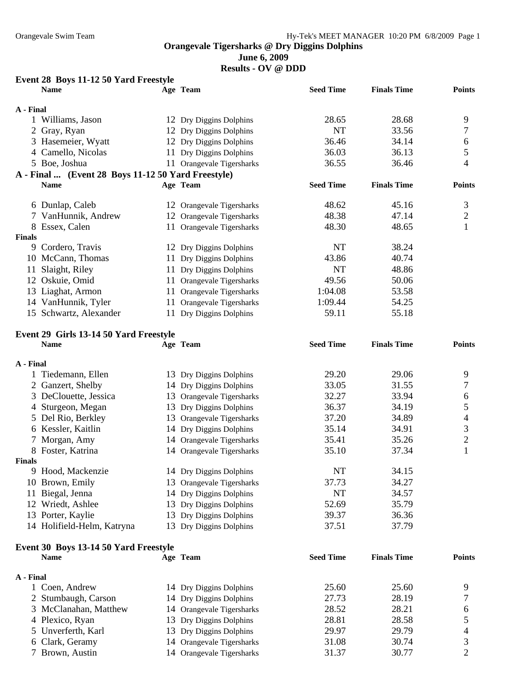**June 6, 2009** 

**Results - OV @ DDD** 

## **Event 28 Boys 11-12 50 Yard Freestyle**

|               | <b>Name</b>                                        |     | Age Team                  | <b>Seed Time</b> | <b>Finals Time</b> | <b>Points</b> |
|---------------|----------------------------------------------------|-----|---------------------------|------------------|--------------------|---------------|
| A - Final     |                                                    |     |                           |                  |                    |               |
|               | Williams, Jason                                    |     | 12 Dry Diggins Dolphins   | 28.65            | 28.68              | 9             |
|               | 2 Gray, Ryan                                       |     | 12 Dry Diggins Dolphins   | NT               | 33.56              | 7             |
|               | 3 Hasemeier, Wyatt                                 |     | 12 Dry Diggins Dolphins   | 36.46            | 34.14              | 6             |
|               | 4 Camello, Nicolas                                 |     | 11 Dry Diggins Dolphins   | 36.03            | 36.13              | 5             |
|               | 5 Boe, Joshua                                      |     | 11 Orangevale Tigersharks | 36.55            | 36.46              | 4             |
|               | A - Final  (Event 28 Boys 11-12 50 Yard Freestyle) |     |                           |                  |                    |               |
|               | <b>Name</b>                                        |     | Age Team                  | <b>Seed Time</b> | <b>Finals Time</b> | <b>Points</b> |
|               | 6 Dunlap, Caleb                                    |     | 12 Orangevale Tigersharks | 48.62            | 45.16              | 3             |
|               | 7 VanHunnik, Andrew                                |     | 12 Orangevale Tigersharks | 48.38            | 47.14              | 2             |
| 8             | Essex, Calen                                       |     | 11 Orangevale Tigersharks | 48.30            | 48.65              |               |
| <b>Finals</b> |                                                    |     |                           |                  |                    |               |
| 9             | Cordero, Travis                                    |     | 12 Dry Diggins Dolphins   | NT               | 38.24              |               |
|               | 10 McCann, Thomas                                  |     | 11 Dry Diggins Dolphins   | 43.86            | 40.74              |               |
| 11            | Slaight, Riley                                     |     | 11 Dry Diggins Dolphins   | <b>NT</b>        | 48.86              |               |
|               | 12 Oskuie, Omid                                    |     | 11 Orangevale Tigersharks | 49.56            | 50.06              |               |
|               | 13 Liaghat, Armon                                  |     | 11 Orangevale Tigersharks | 1:04.08          | 53.58              |               |
|               | 14 VanHunnik, Tyler                                | 11. | Orangevale Tigersharks    | 1:09.44          | 54.25              |               |
|               | 15 Schwartz, Alexander                             |     | 11 Dry Diggins Dolphins   | 59.11            | 55.18              |               |

#### **Event 29 Girls 13-14 50 Yard Freestyle**

|           | <b>Name</b>                |     | Age Team                  | <b>Seed Time</b> | <b>Finals Time</b> | <b>Points</b> |
|-----------|----------------------------|-----|---------------------------|------------------|--------------------|---------------|
| A - Final |                            |     |                           |                  |                    |               |
|           | 1 Tiedemann, Ellen         |     | 13 Dry Diggins Dolphins   | 29.20            | 29.06              | 9             |
|           | 2 Ganzert, Shelby          |     | 14 Dry Diggins Dolphins   | 33.05            | 31.55              |               |
|           | 3 DeClouette, Jessica      |     | 13 Orangevale Tigersharks | 32.27            | 33.94              | 6             |
|           | 4 Sturgeon, Megan          | 13- | Dry Diggins Dolphins      | 36.37            | 34.19              | 5             |
|           | 5 Del Rio, Berkley         |     | 13 Orangevale Tigersharks | 37.20            | 34.89              | 4             |
|           | 6 Kessler, Kaitlin         |     | 14 Dry Diggins Dolphins   | 35.14            | 34.91              | 3             |
|           | 7 Morgan, Amy              |     | 14 Orangevale Tigersharks | 35.41            | 35.26              | 2             |
|           | 8 Foster, Katrina          |     | 14 Orangevale Tigersharks | 35.10            | 37.34              |               |
| Finals    |                            |     |                           |                  |                    |               |
| 9.        | Hood, Mackenzie            |     | 14 Dry Diggins Dolphins   | NT               | 34.15              |               |
|           | 10 Brown, Emily            |     | 13 Orangevale Tigersharks | 37.73            | 34.27              |               |
| 11        | Biegal, Jenna              |     | 14 Dry Diggins Dolphins   | <b>NT</b>        | 34.57              |               |
|           | 12 Wriedt, Ashlee          |     | 13 Dry Diggins Dolphins   | 52.69            | 35.79              |               |
|           | 13 Porter, Kaylie          |     | 13 Dry Diggins Dolphins   | 39.37            | 36.36              |               |
|           | 14 Holifield-Helm, Katryna | 13. | Dry Diggins Dolphins      | 37.51            | 37.79              |               |
|           |                            |     |                           |                  |                    |               |

## **Event 30 Boys 13-14 50 Yard Freestyle**

| <b>Name</b>           | Age Team                  | <b>Seed Time</b> | <b>Finals Time</b> | <b>Points</b> |
|-----------------------|---------------------------|------------------|--------------------|---------------|
| A - Final             |                           |                  |                    |               |
| 1 Coen, Andrew        | 14 Dry Diggins Dolphins   | 25.60            | 25.60              | Q             |
| 2 Stumbaugh, Carson   | 14 Dry Diggins Dolphins   | 27.73            | 28.19              |               |
| 3 McClanahan, Matthew | 14 Orangevale Tigersharks | 28.52            | 28.21              | 6             |
| 4 Plexico, Ryan       | 13 Dry Diggins Dolphins   | 28.81            | 28.58              |               |
| 5 Unverferth, Karl    | 13 Dry Diggins Dolphins   | 29.97            | 29.79              | 4             |
| 6 Clark, Geramy       | 14 Orangevale Tigersharks | 31.08            | 30.74              |               |
| 7 Brown, Austin       | 14 Orangevale Tigersharks | 31.37            | 30.77              |               |
|                       |                           |                  |                    |               |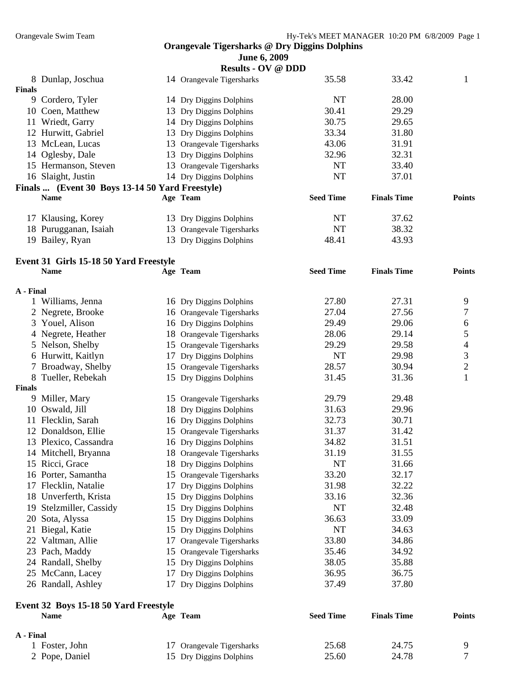|  |  | June 6, 2009 |
|--|--|--------------|
|--|--|--------------|

|           |                                                 | <b>Results - OV @ DDD</b> |                  |                    |               |
|-----------|-------------------------------------------------|---------------------------|------------------|--------------------|---------------|
|           | 8 Dunlap, Joschua                               | 14 Orangevale Tigersharks | 35.58            | 33.42              | 1             |
| Finals    |                                                 |                           |                  |                    |               |
|           | 9 Cordero, Tyler                                | 14 Dry Diggins Dolphins   | NT               | 28.00              |               |
|           | 10 Coen, Matthew                                | 13 Dry Diggins Dolphins   | 30.41            | 29.29              |               |
| 11        | Wriedt, Garry                                   | 14 Dry Diggins Dolphins   | 30.75            | 29.65              |               |
|           | 12 Hurwitt, Gabriel                             | 13 Dry Diggins Dolphins   | 33.34            | 31.80              |               |
|           | 13 McLean, Lucas                                | 13 Orangevale Tigersharks | 43.06            | 31.91              |               |
|           | 14 Oglesby, Dale                                | 13 Dry Diggins Dolphins   | 32.96            | 32.31              |               |
|           | 15 Hermanson, Steven                            | 13 Orangevale Tigersharks | NT               | 33.40              |               |
|           | 16 Slaight, Justin                              | 14 Dry Diggins Dolphins   | NT               | 37.01              |               |
|           | Finals  (Event 30 Boys 13-14 50 Yard Freestyle) |                           |                  |                    |               |
|           | <b>Name</b>                                     | Age Team                  | <b>Seed Time</b> | <b>Finals Time</b> | <b>Points</b> |
|           | 17 Klausing, Korey                              | 13 Dry Diggins Dolphins   | NT               | 37.62              |               |
|           | 18 Purugganan, Isaiah                           | 13 Orangevale Tigersharks | NT               | 38.32              |               |
|           | 19 Bailey, Ryan                                 | 13 Dry Diggins Dolphins   | 48.41            | 43.93              |               |
|           | Event 31 Girls 15-18 50 Yard Freestyle          |                           |                  |                    |               |
|           | <b>Name</b>                                     | Age Team                  | <b>Seed Time</b> | <b>Finals Time</b> | <b>Points</b> |
| A - Final |                                                 |                           |                  |                    |               |

|               | <b>Name</b>                           |    | Age Team                  | <b>Seed Time</b> | <b>Finals Time</b> | <b>Points</b>  |
|---------------|---------------------------------------|----|---------------------------|------------------|--------------------|----------------|
|               | Event 32 Boys 15-18 50 Yard Freestyle |    |                           |                  |                    |                |
|               | 26 Randall, Ashley                    | 17 | Dry Diggins Dolphins      | 37.49            | 37.80              |                |
|               | 25 McCann, Lacey                      | 17 | Dry Diggins Dolphins      | 36.95            | 36.75              |                |
|               | 24 Randall, Shelby                    |    | 15 Dry Diggins Dolphins   | 38.05            | 35.88              |                |
|               | 23 Pach, Maddy                        |    | 15 Orangevale Tigersharks | 35.46            | 34.92              |                |
|               | 22 Valtman, Allie                     | 17 | Orangevale Tigersharks    | 33.80            | 34.86              |                |
| 21            | Biegal, Katie                         |    | 15 Dry Diggins Dolphins   | <b>NT</b>        | 34.63              |                |
|               | 20 Sota, Alyssa                       |    | 15 Dry Diggins Dolphins   | 36.63            | 33.09              |                |
| 19            | Stelzmiller, Cassidy                  |    | 15 Dry Diggins Dolphins   | <b>NT</b>        | 32.48              |                |
|               | 18 Unverferth, Krista                 |    | 15 Dry Diggins Dolphins   | 33.16            | 32.36              |                |
|               | 17 Flecklin, Natalie                  | 17 | Dry Diggins Dolphins      | 31.98            | 32.22              |                |
|               | 16 Porter, Samantha                   |    | 15 Orangevale Tigersharks | 33.20            | 32.17              |                |
|               | 15 Ricci, Grace                       |    | 18 Dry Diggins Dolphins   | <b>NT</b>        | 31.66              |                |
|               | 14 Mitchell, Bryanna                  |    | 18 Orangevale Tigersharks | 31.19            | 31.55              |                |
|               | 13 Plexico, Cassandra                 |    | 16 Dry Diggins Dolphins   | 34.82            | 31.51              |                |
|               | 12 Donaldson, Ellie                   |    | 15 Orangevale Tigersharks | 31.37            | 31.42              |                |
|               | 11 Flecklin, Sarah                    |    | 16 Dry Diggins Dolphins   | 32.73            | 30.71              |                |
| 10            | Oswald, Jill                          |    | 18 Dry Diggins Dolphins   | 31.63            | 29.96              |                |
| 9             | Miller, Mary                          |    | 15 Orangevale Tigersharks | 29.79            | 29.48              |                |
| <b>Finals</b> |                                       |    |                           |                  |                    |                |
| 8             | Tueller, Rebekah                      |    | 15 Dry Diggins Dolphins   | 31.45            | 31.36              | 1              |
|               | Broadway, Shelby                      |    | 15 Orangevale Tigersharks | 28.57            | 30.94              | $\overline{2}$ |
|               | 6 Hurwitt, Kaitlyn                    | 17 | Dry Diggins Dolphins      | <b>NT</b>        | 29.98              | 3              |
|               | 5 Nelson, Shelby                      |    | 15 Orangevale Tigersharks | 29.29            | 29.58              | 4              |
|               | 4 Negrete, Heather                    |    | 18 Orangevale Tigersharks | 28.06            | 29.14              | 5              |
|               | 3 Youel, Alison                       |    | 16 Dry Diggins Dolphins   | 29.49            | 29.06              | 6              |
|               | 2 Negrete, Brooke                     |    | 16 Orangevale Tigersharks | 27.04            | 27.56              | 7              |
|               | 1 Williams, Jenna                     |    | 16 Dry Diggins Dolphins   | 27.80            | 27.31              | 9              |

| A - Final      |                           |       |       |  |
|----------------|---------------------------|-------|-------|--|
| 1 Foster, John | 17 Orangevale Tigersharks | 25.68 | 24.75 |  |
| 2 Pope, Daniel | 15 Dry Diggins Dolphins   | 25.60 | 24.78 |  |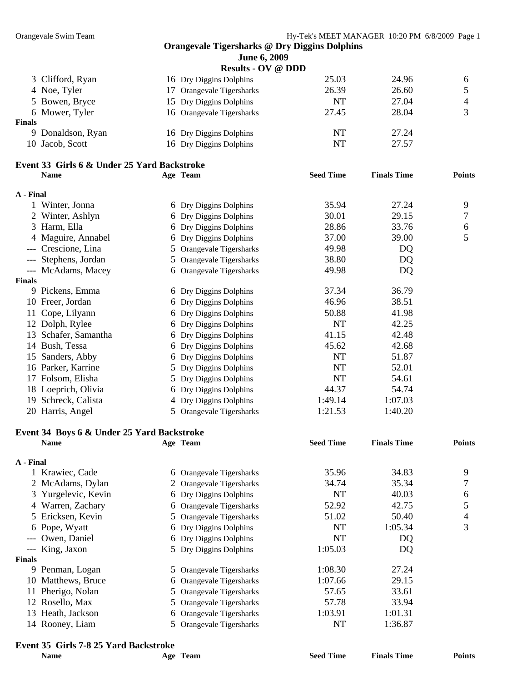|               |                                             |   | June 6, 2009              |                  |                    |                          |
|---------------|---------------------------------------------|---|---------------------------|------------------|--------------------|--------------------------|
|               |                                             |   | <b>Results - OV @ DDD</b> |                  |                    |                          |
|               | 3 Clifford, Ryan                            |   | 16 Dry Diggins Dolphins   | 25.03            | 24.96              | 6                        |
|               | 4 Noe, Tyler                                |   | 17 Orangevale Tigersharks | 26.39            | 26.60              | 5                        |
|               | 5 Bowen, Bryce                              |   | 15 Dry Diggins Dolphins   | <b>NT</b>        | 27.04              | $\overline{\mathcal{A}}$ |
|               | 6 Mower, Tyler                              |   | 16 Orangevale Tigersharks | 27.45            | 28.04              | 3                        |
| <b>Finals</b> |                                             |   |                           |                  |                    |                          |
|               | 9 Donaldson, Ryan                           |   | 16 Dry Diggins Dolphins   | <b>NT</b>        | 27.24              |                          |
|               | 10 Jacob, Scott                             |   | 16 Dry Diggins Dolphins   | NT               | 27.57              |                          |
|               | Event 33 Girls 6 & Under 25 Yard Backstroke |   |                           |                  |                    |                          |
|               | <b>Name</b>                                 |   | Age Team                  | <b>Seed Time</b> | <b>Finals Time</b> | <b>Points</b>            |
| A - Final     |                                             |   |                           |                  |                    |                          |
|               | 1 Winter, Jonna                             |   | 6 Dry Diggins Dolphins    | 35.94            | 27.24              | 9                        |
|               | 2 Winter, Ashlyn                            |   | 6 Dry Diggins Dolphins    | 30.01            | 29.15              | 7                        |
|               | 3 Harm, Ella                                |   | 6 Dry Diggins Dolphins    | 28.86            | 33.76              | 6                        |
|               | 4 Maguire, Annabel                          |   | 6 Dry Diggins Dolphins    | 37.00            | 39.00              | 5                        |
|               | Crescione, Lina                             |   | 5 Orangevale Tigersharks  | 49.98            | DQ                 |                          |
|               | --- Stephens, Jordan                        |   | 5 Orangevale Tigersharks  | 38.80            | DQ                 |                          |
|               | --- McAdams, Macey                          |   | 6 Orangevale Tigersharks  | 49.98            | DQ                 |                          |
| <b>Finals</b> |                                             |   |                           |                  |                    |                          |
|               | 9 Pickens, Emma                             |   | 6 Dry Diggins Dolphins    | 37.34            | 36.79              |                          |
|               | 10 Freer, Jordan                            |   | 6 Dry Diggins Dolphins    | 46.96            | 38.51              |                          |
|               | 11 Cope, Lilyann                            |   | 6 Dry Diggins Dolphins    | 50.88            | 41.98              |                          |
|               | 12 Dolph, Rylee                             |   | 6 Dry Diggins Dolphins    | <b>NT</b>        | 42.25              |                          |
|               | 13 Schafer, Samantha                        |   | 6 Dry Diggins Dolphins    | 41.15            | 42.48              |                          |
|               | 14 Bush, Tessa                              |   | 6 Dry Diggins Dolphins    | 45.62            | 42.68              |                          |
|               | 15 Sanders, Abby                            |   | 6 Dry Diggins Dolphins    | <b>NT</b>        | 51.87              |                          |
|               | 16 Parker, Karrine                          |   | 5 Dry Diggins Dolphins    | NT               | 52.01              |                          |
|               | 17 Folsom, Elisha                           |   | 5 Dry Diggins Dolphins    | NT               | 54.61              |                          |
|               | 18 Loeprich, Olivia                         |   | 6 Dry Diggins Dolphins    | 44.37            | 54.74              |                          |
|               | 19 Schreck, Calista                         |   | 4 Dry Diggins Dolphins    | 1:49.14          | 1:07.03            |                          |
|               | 20 Harris, Angel                            |   | 5 Orangevale Tigersharks  | 1:21.53          | 1:40.20            |                          |
|               | Event 34 Boys 6 & Under 25 Yard Backstroke  |   |                           |                  |                    |                          |
|               | Name                                        |   | Age Team                  | <b>Seed Time</b> | <b>Finals Time</b> | <b>Points</b>            |
|               |                                             |   |                           |                  |                    |                          |
| A - Final     |                                             |   |                           |                  |                    |                          |
|               | 1 Krawiec, Cade                             | 6 | Orangevale Tigersharks    | 35.96            | 34.83              | 9                        |
|               | 2 McAdams, Dylan                            |   | Orangevale Tigersharks    | 34.74            | 35.34              | 7                        |
| 3             | Yurgelevic, Kevin                           | 6 | Dry Diggins Dolphins      | NT               | 40.03              | 6                        |
| 4             | Warren, Zachary                             | 6 | Orangevale Tigersharks    | 52.92            | 42.75              | 5                        |
| 5             | Ericksen, Kevin                             | 5 | Orangevale Tigersharks    | 51.02            | 50.40              | 4                        |
|               | 6 Pope, Wyatt                               | 6 | Dry Diggins Dolphins      | NT               | 1:05.34            | 3                        |
|               | Owen, Daniel                                | 6 | Dry Diggins Dolphins      | NT               | DQ                 |                          |
|               | King, Jaxon                                 | 5 | Dry Diggins Dolphins      | 1:05.03          | DQ                 |                          |
| <b>Finals</b> |                                             |   |                           |                  |                    |                          |
|               | 9 Penman, Logan                             |   | 5 Orangevale Tigersharks  | 1:08.30          | 27.24              |                          |
|               | 10 Matthews, Bruce                          | 6 | Orangevale Tigersharks    | 1:07.66          | 29.15              |                          |
| 11            | Pherigo, Nolan                              | 5 | Orangevale Tigersharks    | 57.65            | 33.61              |                          |
|               | 12 Rosello, Max                             | 5 | Orangevale Tigersharks    | 57.78            | 33.94              |                          |
|               | 13 Heath, Jackson                           | 6 | Orangevale Tigersharks    | 1:03.91          | 1:01.31            |                          |
|               | 14 Rooney, Liam                             | 5 | Orangevale Tigersharks    | NT               | 1:36.87            |                          |

# **Event 35 Girls 7-8 25 Yard Backstroke**

| Vame |
|------|
|------|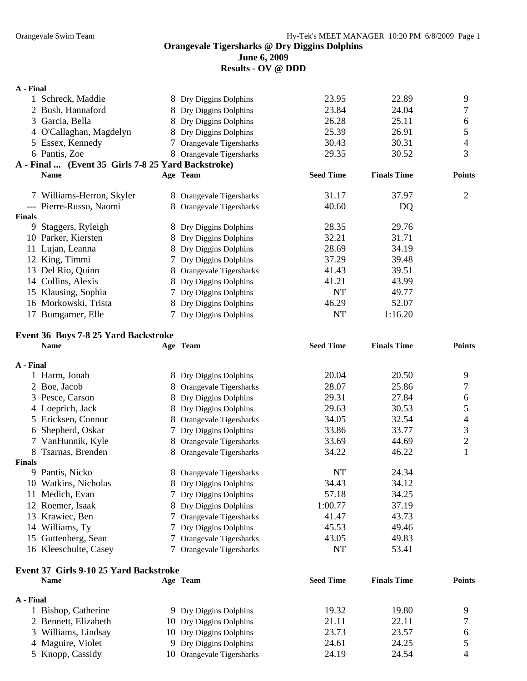**June 6, 2009** 

**Results - OV @ DDD** 

#### **A - Final**

|               | Schreck, Maddie                                    | 8 Dry Diggins Dolphins   | 23.95            | 22.89              | 9             |
|---------------|----------------------------------------------------|--------------------------|------------------|--------------------|---------------|
|               | 2 Bush, Hannaford                                  | 8 Dry Diggins Dolphins   | 23.84            | 24.04              | 7             |
|               | 3 Garcia, Bella                                    | 8 Dry Diggins Dolphins   | 26.28            | 25.11              | 6             |
|               | 4 O'Callaghan, Magdelyn                            | 8 Dry Diggins Dolphins   | 25.39            | 26.91              | 5             |
|               | 5 Essex, Kennedy                                   | 7 Orangevale Tigersharks | 30.43            | 30.31              | 4             |
|               | 6 Pantis, Zoe                                      | 8 Orangevale Tigersharks | 29.35            | 30.52              | 3             |
|               | A - Final  (Event 35 Girls 7-8 25 Yard Backstroke) |                          |                  |                    |               |
|               | <b>Name</b>                                        | Age Team                 | <b>Seed Time</b> | <b>Finals Time</b> | <b>Points</b> |
|               | 7 Williams-Herron, Skyler                          | 8 Orangevale Tigersharks | 31.17            | 37.97              | 2             |
|               | --- Pierre-Russo, Naomi                            | 8 Orangevale Tigersharks | 40.60            | DQ                 |               |
| <b>Finals</b> |                                                    |                          |                  |                    |               |
| 9             | Staggers, Ryleigh                                  | 8 Dry Diggins Dolphins   | 28.35            | 29.76              |               |
|               | 10 Parker, Kiersten                                | 8 Dry Diggins Dolphins   | 32.21            | 31.71              |               |
|               | 11 Lujan, Leanna                                   | 8 Dry Diggins Dolphins   | 28.69            | 34.19              |               |
|               | 12 King, Timmi                                     | 7 Dry Diggins Dolphins   | 37.29            | 39.48              |               |
|               | 13 Del Rio, Quinn                                  | 8 Orangevale Tigersharks | 41.43            | 39.51              |               |
|               | 14 Collins, Alexis                                 | 8 Dry Diggins Dolphins   | 41.21            | 43.99              |               |
|               | 15 Klausing, Sophia                                | 7 Dry Diggins Dolphins   | NT               | 49.77              |               |
|               | 16 Morkowski, Trista                               | 8 Dry Diggins Dolphins   | 46.29            | 52.07              |               |
|               | 17 Bumgarner, Elle                                 | 7 Dry Diggins Dolphins   | <b>NT</b>        | 1:16.20            |               |

## **Event 36 Boys 7-8 25 Yard Backstroke**

|               | <b>Name</b>           |    | Age Team                 | <b>Seed Time</b> | <b>Finals Time</b> | <b>Points</b>  |
|---------------|-----------------------|----|--------------------------|------------------|--------------------|----------------|
| A - Final     |                       |    |                          |                  |                    |                |
|               | Harm, Jonah           |    | 8 Dry Diggins Dolphins   | 20.04            | 20.50              | 9              |
|               | 2 Boe, Jacob          |    | 8 Orangevale Tigersharks | 28.07            | 25.86              | 7              |
|               | 3 Pesce, Carson       |    | 8 Dry Diggins Dolphins   | 29.31            | 27.84              | 6              |
|               | 4 Loeprich, Jack      |    | 8 Dry Diggins Dolphins   | 29.63            | 30.53              | 5              |
|               | 5 Ericksen, Connor    | 8  | Orangevale Tigersharks   | 34.05            | 32.54              | 4              |
|               | 6 Shepherd, Oskar     |    | 7 Dry Diggins Dolphins   | 33.86            | 33.77              | 3              |
|               | 7 VanHunnik, Kyle     |    | 8 Orangevale Tigersharks | 33.69            | 44.69              | $\overline{2}$ |
| 8.            | Tsarnas, Brenden      | 8. | Orangevale Tigersharks   | 34.22            | 46.22              |                |
| <b>Finals</b> |                       |    |                          |                  |                    |                |
| 9             | Pantis, Nicko         |    | 8 Orangevale Tigersharks | NT               | 24.34              |                |
|               | 10 Watkins, Nicholas  |    | 8 Dry Diggins Dolphins   | 34.43            | 34.12              |                |
| 11            | Medich, Evan          |    | 7 Dry Diggins Dolphins   | 57.18            | 34.25              |                |
|               | 12 Roemer, Isaak      | 8  | Dry Diggins Dolphins     | 1:00.77          | 37.19              |                |
|               | 13 Krawiec, Ben       |    | 7 Orangevale Tigersharks | 41.47            | 43.73              |                |
|               | 14 Williams, Ty       |    | 7 Dry Diggins Dolphins   | 45.53            | 49.46              |                |
|               | 15 Guttenberg, Sean   |    | 7 Orangevale Tigersharks | 43.05            | 49.83              |                |
|               | 16 Kleeschulte, Casey |    | 7 Orangevale Tigersharks | NT               | 53.41              |                |

## **Event 37 Girls 9-10 25 Yard Backstroke**

| <b>Name</b>          | Age Team                  | <b>Seed Time</b> | <b>Finals Time</b> | <b>Points</b> |
|----------------------|---------------------------|------------------|--------------------|---------------|
| A - Final            |                           |                  |                    |               |
| 1 Bishop, Catherine  | 9 Dry Diggins Dolphins    | 19.32            | 19.80              | Q             |
| 2 Bennett, Elizabeth | 10 Dry Diggins Dolphins   | 21.11            | 22.11              |               |
| 3 Williams, Lindsay  | 10 Dry Diggins Dolphins   | 23.73            | 23.57              | h             |
| 4 Maguire, Violet    | 9 Dry Diggins Dolphins    | 24.61            | 24.25              |               |
| 5 Knopp, Cassidy     | 10 Orangevale Tigersharks | 24.19            | 24.54              | $\Delta$      |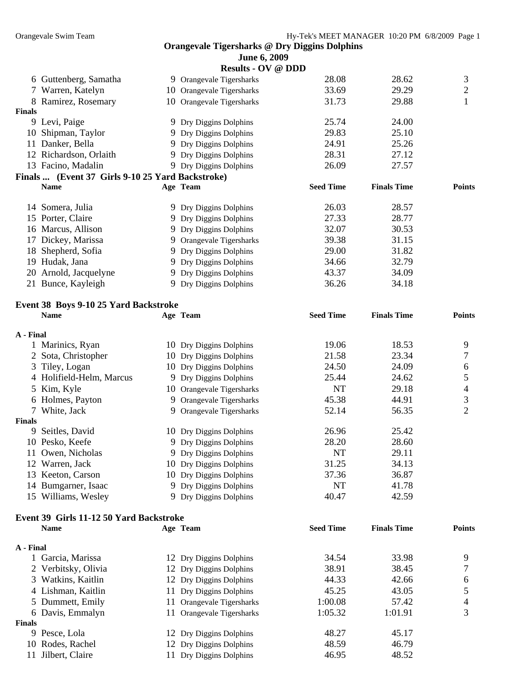| <b>June 6, 2009</b> |  |  |
|---------------------|--|--|
|                     |  |  |

|               |                                                        |    | <b>Results - OV @ DDD</b> |                  |                    |                |
|---------------|--------------------------------------------------------|----|---------------------------|------------------|--------------------|----------------|
|               | 6 Guttenberg, Samatha                                  |    | 9 Orangevale Tigersharks  | 28.08            | 28.62              | 3              |
|               | 7 Warren, Katelyn                                      |    | 10 Orangevale Tigersharks | 33.69            | 29.29              | $\overline{c}$ |
|               | 8 Ramirez, Rosemary                                    |    | 10 Orangevale Tigersharks | 31.73            | 29.88              | $\mathbf{1}$   |
| <b>Finals</b> |                                                        |    |                           |                  |                    |                |
|               | 9 Levi, Paige                                          |    | 9 Dry Diggins Dolphins    | 25.74            | 24.00              |                |
|               | 10 Shipman, Taylor                                     |    | 9 Dry Diggins Dolphins    | 29.83            | 25.10              |                |
|               | 11 Danker, Bella                                       |    | 9 Dry Diggins Dolphins    | 24.91            | 25.26              |                |
|               | 12 Richardson, Orlaith                                 |    | 9 Dry Diggins Dolphins    | 28.31            | 27.12              |                |
|               | 13 Facino, Madalin                                     |    | 9 Dry Diggins Dolphins    | 26.09            | 27.57              |                |
|               | Finals  (Event 37 Girls 9-10 25 Yard Backstroke)       |    |                           |                  |                    |                |
|               | <b>Name</b>                                            |    | Age Team                  | <b>Seed Time</b> | <b>Finals Time</b> | <b>Points</b>  |
|               | 14 Somera, Julia                                       |    | 9 Dry Diggins Dolphins    | 26.03            | 28.57              |                |
|               | 15 Porter, Claire                                      |    | 9 Dry Diggins Dolphins    | 27.33            | 28.77              |                |
|               | 16 Marcus, Allison                                     |    | 9 Dry Diggins Dolphins    | 32.07            | 30.53              |                |
|               | 17 Dickey, Marissa                                     |    | 9 Orangevale Tigersharks  | 39.38            | 31.15              |                |
|               | 18 Shepherd, Sofia                                     |    | 9 Dry Diggins Dolphins    | 29.00            | 31.82              |                |
|               | 19 Hudak, Jana                                         |    | 9 Dry Diggins Dolphins    | 34.66            | 32.79              |                |
|               | 20 Arnold, Jacquelyne                                  |    | 9 Dry Diggins Dolphins    | 43.37            | 34.09              |                |
|               | 21 Bunce, Kayleigh                                     |    | 9 Dry Diggins Dolphins    | 36.26            | 34.18              |                |
|               |                                                        |    |                           |                  |                    |                |
|               | Event 38 Boys 9-10 25 Yard Backstroke                  |    |                           |                  |                    |                |
|               | <b>Name</b>                                            |    | Age Team                  | <b>Seed Time</b> | <b>Finals Time</b> | <b>Points</b>  |
| A - Final     |                                                        |    |                           |                  |                    |                |
|               | 1 Marinics, Ryan                                       |    | 10 Dry Diggins Dolphins   | 19.06            | 18.53              | 9              |
|               | 2 Sota, Christopher                                    |    | 10 Dry Diggins Dolphins   | 21.58            | 23.34              | 7              |
| 3             | Tiley, Logan                                           |    | 10 Dry Diggins Dolphins   | 24.50            | 24.09              | $\sqrt{6}$     |
|               | 4 Holifield-Helm, Marcus                               |    | 9 Dry Diggins Dolphins    | 25.44            | 24.62              | 5              |
| 5             | Kim, Kyle                                              |    | 10 Orangevale Tigersharks | NT               | 29.18              | $\overline{4}$ |
|               | 6 Holmes, Payton                                       |    | 9 Orangevale Tigersharks  | 45.38            | 44.91              | 3              |
|               | 7 White, Jack                                          |    | 9 Orangevale Tigersharks  | 52.14            | 56.35              | $\overline{2}$ |
| <b>Finals</b> |                                                        |    |                           |                  |                    |                |
| 9             | Seitles, David                                         |    | 10 Dry Diggins Dolphins   | 26.96            | 25.42              |                |
|               | 10 Pesko, Keefe                                        |    | 9 Dry Diggins Dolphins    | 28.20            | 28.60              |                |
|               | 11 Owen, Nicholas                                      |    | 9 Dry Diggins Dolphins    | NT               | 29.11              |                |
|               | 12 Warren, Jack                                        |    | 10 Dry Diggins Dolphins   | 31.25            | 34.13              |                |
|               | 13 Keeton, Carson                                      |    | 10 Dry Diggins Dolphins   | 37.36            | 36.87              |                |
|               | 14 Bumgarner, Isaac                                    |    | 9 Dry Diggins Dolphins    | NT               | 41.78              |                |
|               | 15 Williams, Wesley                                    |    | 9 Dry Diggins Dolphins    | 40.47            | 42.59              |                |
|               |                                                        |    |                           |                  |                    |                |
|               | Event 39 Girls 11-12 50 Yard Backstroke<br><b>Name</b> |    | Age Team                  | <b>Seed Time</b> | <b>Finals Time</b> | <b>Points</b>  |
|               |                                                        |    |                           |                  |                    |                |
| A - Final     |                                                        |    |                           |                  |                    |                |
|               | 1 Garcia, Marissa                                      |    | 12 Dry Diggins Dolphins   | 34.54            | 33.98              | 9              |
|               | 2 Verbitsky, Olivia                                    |    | 12 Dry Diggins Dolphins   | 38.91            | 38.45              | 7              |
|               | 3 Watkins, Kaitlin                                     |    | 12 Dry Diggins Dolphins   | 44.33            | 42.66              | 6              |
|               | 4 Lishman, Kaitlin                                     |    | 11 Dry Diggins Dolphins   | 45.25            | 43.05              | 5              |
|               | 5 Dummett, Emily                                       | 11 | Orangevale Tigersharks    | 1:00.08          | 57.42              | 4              |
|               | 6 Davis, Emmalyn                                       |    | 11 Orangevale Tigersharks | 1:05.32          | 1:01.91            | 3              |
| Finals        |                                                        |    |                           |                  |                    |                |
|               | 9 Pesce, Lola                                          |    | 12 Dry Diggins Dolphins   | 48.27            | 45.17              |                |
|               | 10 Rodes, Rachel                                       |    | 12 Dry Diggins Dolphins   | 48.59            | 46.79              |                |
|               | 11 Jilbert, Claire                                     |    | 11 Dry Diggins Dolphins   | 46.95            | 48.52              |                |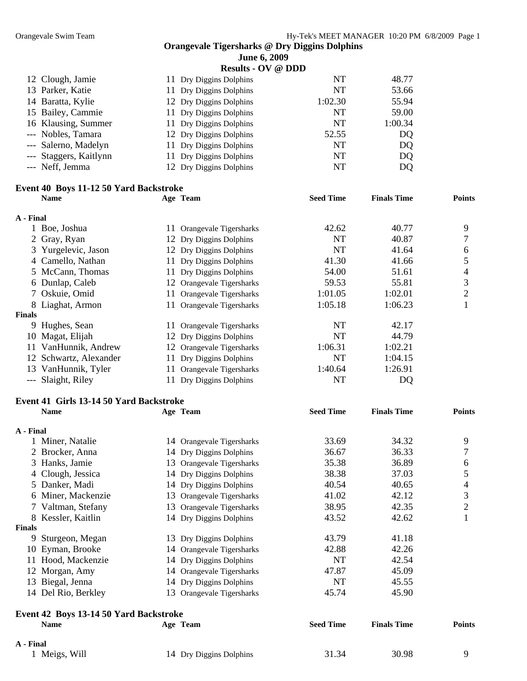| . . |                            |  | . . |
|-----|----------------------------|--|-----|
|     | <b>June 6, 2009</b>        |  |     |
|     | Results . $\alpha$ V @ DDD |  |     |

|                        | Results - V y & <i>DDD</i> |           |                |
|------------------------|----------------------------|-----------|----------------|
| 12 Clough, Jamie       | 11 Dry Diggins Dolphins    | <b>NT</b> | 48.77          |
| 13 Parker, Katie       | 11 Dry Diggins Dolphins    | <b>NT</b> | 53.66          |
| 14 Baratta, Kylie      | 12 Dry Diggins Dolphins    | 1:02.30   | 55.94          |
| 15 Bailey, Cammie      | 11 Dry Diggins Dolphins    | <b>NT</b> | 59.00          |
| 16 Klausing, Summer    | 11 Dry Diggins Dolphins    | <b>NT</b> | 1:00.34        |
| --- Nobles, Tamara     | 12 Dry Diggins Dolphins    | 52.55     | D <sub>Q</sub> |
| --- Salerno, Madelyn   | 11 Dry Diggins Dolphins    | <b>NT</b> | DQ             |
| --- Staggers, Kaitlynn | 11 Dry Diggins Dolphins    | NT        | DQ             |
| --- Neff, Jemma        | 12 Dry Diggins Dolphins    | <b>NT</b> | DQ             |
|                        |                            |           |                |

## **Event 40 Boys 11-12 50 Yard Backstroke**

|               | <b>Name</b>            |     | Age Team                  | <b>Seed Time</b> | <b>Finals Time</b> | <b>Points</b> |
|---------------|------------------------|-----|---------------------------|------------------|--------------------|---------------|
| A - Final     |                        |     |                           |                  |                    |               |
|               | Boe, Joshua            |     | 11 Orangevale Tigersharks | 42.62            | 40.77              | 9             |
|               | 2 Gray, Ryan           |     | 12 Dry Diggins Dolphins   | NT               | 40.87              |               |
|               | 3 Yurgelevic, Jason    |     | 12 Dry Diggins Dolphins   | NT               | 41.64              | 6             |
|               | 4 Camello, Nathan      |     | 11 Dry Diggins Dolphins   | 41.30            | 41.66              | 5             |
|               | 5 McCann, Thomas       | 11  | Dry Diggins Dolphins      | 54.00            | 51.61              | 4             |
|               | 6 Dunlap, Caleb        |     | 12 Orangevale Tigersharks | 59.53            | 55.81              | 3             |
|               | Oskuie, Omid           | 11- | Orangevale Tigersharks    | 1:01.05          | 1:02.01            | 2             |
|               | 8 Liaghat, Armon       |     | 11 Orangevale Tigersharks | 1:05.18          | 1:06.23            |               |
| <b>Finals</b> |                        |     |                           |                  |                    |               |
| 9             | Hughes, Sean           |     | 11 Orangevale Tigersharks | NT               | 42.17              |               |
| 10            | Magat, Elijah          |     | 12 Dry Diggins Dolphins   | NT               | 44.79              |               |
| 11            | VanHunnik, Andrew      |     | 12 Orangevale Tigersharks | 1:06.31          | 1:02.21            |               |
|               | 12 Schwartz, Alexander | 11  | Dry Diggins Dolphins      | NT               | 1:04.15            |               |
|               | 13 VanHunnik, Tyler    |     | Orangevale Tigersharks    | 1:40.64          | 1:26.91            |               |
|               | --- Slaight, Riley     |     | Dry Diggins Dolphins      | NT               | DQ                 |               |

## **Event 41 Girls 13-14 50 Yard Backstroke**

|           | <b>Name</b>                            |    | Age Team                  | <b>Seed Time</b> | <b>Finals Time</b> | <b>Points</b>  |
|-----------|----------------------------------------|----|---------------------------|------------------|--------------------|----------------|
| A - Final |                                        |    |                           |                  |                    |                |
|           | 1 Miner, Natalie                       |    | 14 Orangevale Tigersharks | 33.69            | 34.32              | 9              |
|           | 2 Brocker, Anna                        |    | 14 Dry Diggins Dolphins   | 36.67            | 36.33              | 7              |
| 3         | Hanks, Jamie                           |    | 13 Orangevale Tigersharks | 35.38            | 36.89              | 6              |
|           | 4 Clough, Jessica                      |    | 14 Dry Diggins Dolphins   | 38.38            | 37.03              | 5              |
|           | 5 Danker, Madi                         |    | 14 Dry Diggins Dolphins   | 40.54            | 40.65              | 4              |
|           | 6 Miner, Mackenzie                     |    | 13 Orangevale Tigersharks | 41.02            | 42.12              | 3              |
|           | 7 Valtman, Stefany                     |    | 13 Orangevale Tigersharks | 38.95            | 42.35              | $\overline{2}$ |
|           | Kessler, Kaitlin                       |    | 14 Dry Diggins Dolphins   | 43.52            | 42.62              |                |
| Finals    |                                        |    |                           |                  |                    |                |
| 9         | Sturgeon, Megan                        |    | 13 Dry Diggins Dolphins   | 43.79            | 41.18              |                |
|           | 10 Eyman, Brooke                       |    | 14 Orangevale Tigersharks | 42.88            | 42.26              |                |
| 11        | Hood, Mackenzie                        |    | 14 Dry Diggins Dolphins   | <b>NT</b>        | 42.54              |                |
|           | 12 Morgan, Amy                         |    | 14 Orangevale Tigersharks | 47.87            | 45.09              |                |
|           | 13 Biegal, Jenna                       |    | 14 Dry Diggins Dolphins   | <b>NT</b>        | 45.55              |                |
|           | 14 Del Rio, Berkley                    | 13 | Orangevale Tigersharks    | 45.74            | 45.90              |                |
|           | Event 42 Boys 13-14 50 Yard Backstroke |    |                           |                  |                    |                |
|           | <b>Name</b>                            |    | Age Team                  | <b>Seed Time</b> | <b>Finals Time</b> | <b>Points</b>  |
| A - Final |                                        |    |                           |                  |                    |                |
|           | 1 Meigs, Will                          |    | 14 Dry Diggins Dolphins   | 31.34            | 30.98              | 9              |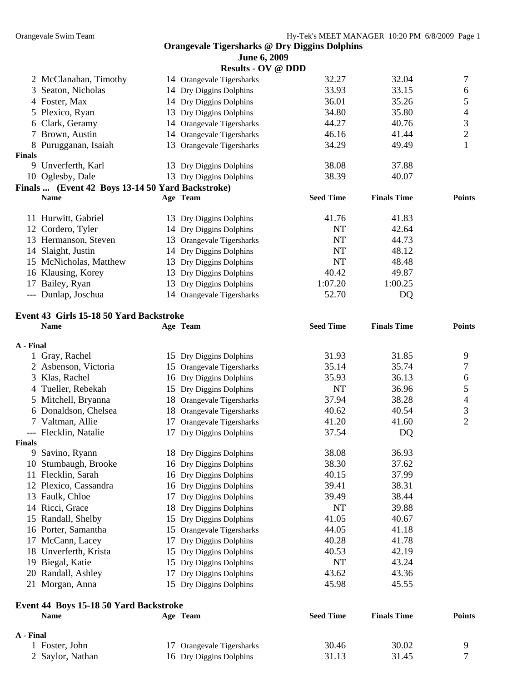| <b>June 6, 2009</b> |  |  |
|---------------------|--|--|
|                     |  |  |

|               |                                                  | <b>Results - OV @ DDD</b> |                  |                    |                |
|---------------|--------------------------------------------------|---------------------------|------------------|--------------------|----------------|
|               | 2 McClanahan, Timothy                            | 14 Orangevale Tigersharks | 32.27            | 32.04              | 7              |
|               | 3 Seaton, Nicholas                               | 14 Dry Diggins Dolphins   | 33.93            | 33.15              | 6              |
|               | 4 Foster, Max                                    | 14 Dry Diggins Dolphins   | 36.01            | 35.26              | 5              |
|               | 5 Plexico, Ryan                                  | 13 Dry Diggins Dolphins   | 34.80            | 35.80              | 4              |
|               | 6 Clark, Geramy                                  | 14 Orangevale Tigersharks | 44.27            | 40.76              | 3              |
|               | 7 Brown, Austin                                  | 14 Orangevale Tigersharks | 46.16            | 41.44              | $\overline{2}$ |
|               | 8 Purugganan, Isaiah                             | 13 Orangevale Tigersharks | 34.29            | 49.49              |                |
| <b>Finals</b> |                                                  |                           |                  |                    |                |
| 9             | Unverferth, Karl                                 | 13 Dry Diggins Dolphins   | 38.08            | 37.88              |                |
|               | 10 Oglesby, Dale                                 | 13 Dry Diggins Dolphins   | 38.39            | 40.07              |                |
|               | Finals  (Event 42 Boys 13-14 50 Yard Backstroke) |                           |                  |                    |                |
|               | <b>Name</b>                                      | Age Team                  | <b>Seed Time</b> | <b>Finals Time</b> | <b>Points</b>  |
|               | 11 Hurwitt, Gabriel                              | 13 Dry Diggins Dolphins   | 41.76            | 41.83              |                |
|               | 12 Cordero, Tyler                                | 14 Dry Diggins Dolphins   | NT               | 42.64              |                |
|               | 13 Hermanson, Steven                             | 13 Orangevale Tigersharks | NT               | 44.73              |                |
|               | 14 Slaight, Justin                               | 14 Dry Diggins Dolphins   | NT               | 48.12              |                |
|               | 15 McNicholas, Matthew                           | 13 Dry Diggins Dolphins   | NT               | 48.48              |                |
|               | 16 Klausing, Korey                               | 13 Dry Diggins Dolphins   | 40.42            | 49.87              |                |
|               | 17 Bailey, Ryan                                  | 13 Dry Diggins Dolphins   | 1:07.20          | 1:00.25            |                |

--- Dunlap, Joschua 14 Orangevale Tigersharks 52.70 DQ

### **Event 43 Girls 15-18 50 Yard Backstroke**

|           | <b>Name</b>                                   |    | Age Team                  | <b>Seed Time</b> | <b>Finals Time</b> | <b>Points</b>  |
|-----------|-----------------------------------------------|----|---------------------------|------------------|--------------------|----------------|
| A - Final |                                               |    |                           |                  |                    |                |
|           | 1 Gray, Rachel                                |    | 15 Dry Diggins Dolphins   | 31.93            | 31.85              | 9              |
|           | 2 Asbenson, Victoria                          |    | 15 Orangevale Tigersharks | 35.14            | 35.74              | 7              |
| 3         | Klas, Rachel                                  |    | 16 Dry Diggins Dolphins   | 35.93            | 36.13              | 6              |
| 4         | Tueller, Rebekah                              |    | 15 Dry Diggins Dolphins   | <b>NT</b>        | 36.96              | 5              |
| 5         | Mitchell, Bryanna                             |    | 18 Orangevale Tigersharks | 37.94            | 38.28              | 4              |
|           | 6 Donaldson, Chelsea                          |    | 18 Orangevale Tigersharks | 40.62            | 40.54              | 3              |
|           | 7 Valtman, Allie                              | 17 | Orangevale Tigersharks    | 41.20            | 41.60              | $\overline{2}$ |
|           | --- Flecklin, Natalie                         | 17 | Dry Diggins Dolphins      | 37.54            | DQ                 |                |
| Finals    |                                               |    |                           |                  |                    |                |
| 9         | Savino, Ryann                                 |    | 18 Dry Diggins Dolphins   | 38.08            | 36.93              |                |
| 10        | Stumbaugh, Brooke                             |    | 16 Dry Diggins Dolphins   | 38.30            | 37.62              |                |
|           | 11 Flecklin, Sarah                            |    | 16 Dry Diggins Dolphins   | 40.15            | 37.99              |                |
|           | 12 Plexico, Cassandra                         |    | 16 Dry Diggins Dolphins   | 39.41            | 38.31              |                |
|           | 13 Faulk, Chloe                               |    | 17 Dry Diggins Dolphins   | 39.49            | 38.44              |                |
|           | 14 Ricci, Grace                               |    | 18 Dry Diggins Dolphins   | <b>NT</b>        | 39.88              |                |
| 15        | Randall, Shelby                               |    | 15 Dry Diggins Dolphins   | 41.05            | 40.67              |                |
|           | 16 Porter, Samantha                           |    | 15 Orangevale Tigersharks | 44.05            | 41.18              |                |
|           | 17 McCann, Lacey                              | 17 | Dry Diggins Dolphins      | 40.28            | 41.78              |                |
| 18        | Unverferth, Krista                            |    | 15 Dry Diggins Dolphins   | 40.53            | 42.19              |                |
| 19        | Biegal, Katie                                 |    | 15 Dry Diggins Dolphins   | <b>NT</b>        | 43.24              |                |
| 20        | Randall, Ashley                               | 17 | Dry Diggins Dolphins      | 43.62            | 43.36              |                |
|           | 21 Morgan, Anna                               |    | 15 Dry Diggins Dolphins   | 45.98            | 45.55              |                |
|           | <b>Event 44 Boys 15-18 50 Yard Backstroke</b> |    |                           |                  |                    |                |
|           | <b>Name</b>                                   |    | Age Team                  | <b>Seed Time</b> | <b>Finals Time</b> | <b>Points</b>  |
| A - Final |                                               |    |                           |                  |                    |                |
|           | 1 Foster, John                                | 17 | Orangevale Tigersharks    | 30.46            | 30.02              | 9              |
|           | 2 Saylor, Nathan                              |    | 16 Dry Diggins Dolphins   | 31.13            | 31.45              | $\overline{7}$ |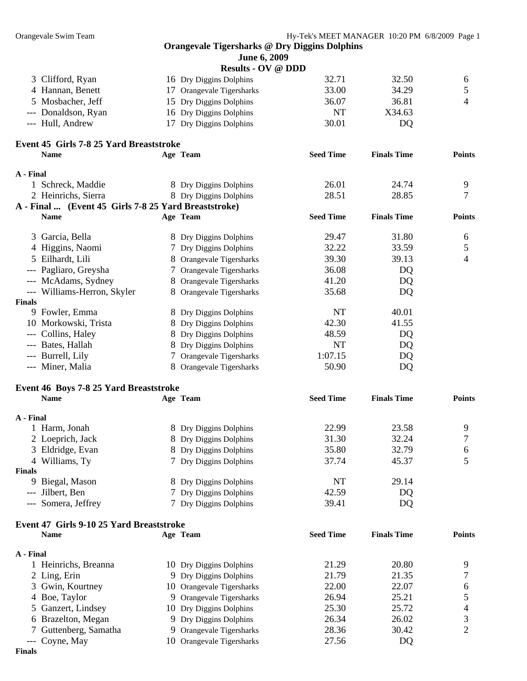**Finals** 

Orangevale Swim Team Hy-Tek's MEET MANAGER 10:20 PM 6/8/2009 Page 1 **Orangevale Tigersharks @ Dry Diggins Dolphins June 6, 2009 Results - OV @ DDD**  3 Clifford, Ryan 16 Dry Diggins Dolphins 32.71 32.50 6 4 Hannan, Benett 17 Orangevale Tigersharks 33.00 34.29 5 5 Mosbacher, Jeff 15 Dry Diggins Dolphins 36.07 36.81 4 --- Donaldson, Ryan 16 Dry Diggins Dolphins NT X34.63 --- Hull, Andrew 17 Dry Diggins Dolphins 30.01 DQ **Event 45 Girls 7-8 25 Yard Breaststroke Name Age Team Seed Time Finals Time Points A - Final**  1 Schreck, Maddie 8 Dry Diggins Dolphins 26.01 24.74 9 2 Heinrichs, Sierra 8 Dry Diggins Dolphins 28.51 28.85 7 **A - Final ... (Event 45 Girls 7-8 25 Yard Breaststroke) Name Age Team Seed Time Finals Time Points**  3 Garcia, Bella 29.47 31.80 6 4 Higgins, Naomi 7 Dry Diggins Dolphins 32.22 33.59 5 5 Eilhardt, Lili 8 Orangevale Tigersharks 39.30 39.13 4 --- Pagliaro, Greysha 7 Orangevale Tigersharks 36.08 DQ --- McAdams, Sydney 8 Orangevale Tigersharks 41.20 DQ --- Williams-Herron, Skyler 8 Orangevale Tigersharks 35.68 DQ **Finals**  9 Fowler, Emma 8 Dry Diggins Dolphins NT 40.01 10 Morkowski, Trista 8 Dry Diggins Dolphins 42.30 41.55 --- Collins, Haley 8 Dry Diggins Dolphins 48.59 DQ --- Bates, Hallah 8 Dry Diggins Dolphins NT DQ --- Burrell, Lily 7 Orangevale Tigersharks 1:07.15 DQ --- Miner, Malia 8 Orangevale Tigersharks 50.90 DQ **Event 46 Boys 7-8 25 Yard Breaststroke Name Age Team Seed Time Finals Time Points A - Final**  1 Harm, Jonah 8 Dry Diggins Dolphins 22.99 23.58 9 2 Loeprich, Jack 8 Dry Diggins Dolphins 31.30 32.24 7 3 Eldridge, Evan 8 Dry Diggins Dolphins 35.80 32.79 6 4 Williams, Ty **7 Dry Diggins Dolphins** 37.74 45.37 5 **Finals**  9 Biegal, Mason 8 Dry Diggins Dolphins NT 29.14 --- Jilbert, Ben 7 Dry Diggins Dolphins 42.59 DQ --- Somera, Jeffrey 7 Dry Diggins Dolphins 39.41 DQ **Event 47 Girls 9-10 25 Yard Breaststroke Name Age Team Seed Time Finals Time Points A - Final**  1 Heinrichs, Breanna 10 Dry Diggins Dolphins 21.29 20.80 9 2 Ling, Erin 21.79 21.35 7 3 Gwin, Kourtney 10 Orangevale Tigersharks 22.00 22.07 6

4 Boe, Taylor 9 Orangevale Tigersharks 26.94 25.21 5 Ganzert, Lindsey 10 Dry Diggins Dolphins 25.30 25.72 4 Brazelton, Megan 9 Dry Diggins Dolphins 26.34 26.02 3 Guttenberg, Samatha 9 Orangevale Tigersharks 28.36 30.42 2

--- Coyne, May 10 Orangevale Tigersharks 27.56 DQ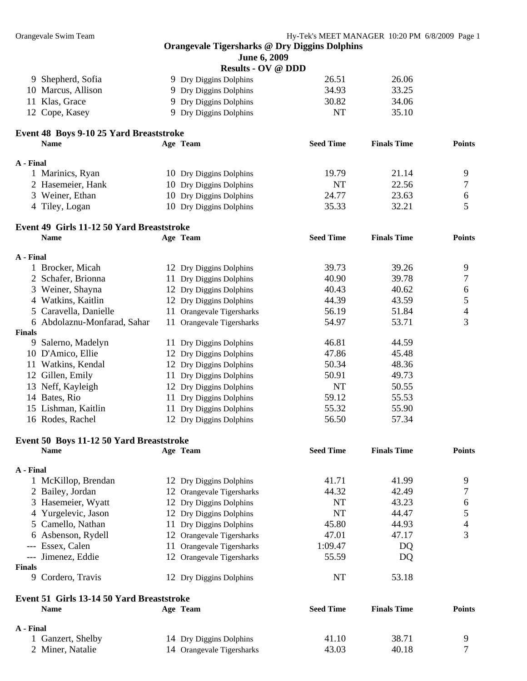|           |                                                          | June 6, 2009              |                  |                    |                          |
|-----------|----------------------------------------------------------|---------------------------|------------------|--------------------|--------------------------|
|           |                                                          | <b>Results - OV @ DDD</b> |                  |                    |                          |
|           | 9 Shepherd, Sofia                                        | 9 Dry Diggins Dolphins    | 26.51            | 26.06              |                          |
|           | 10 Marcus, Allison                                       | 9 Dry Diggins Dolphins    | 34.93            | 33.25              |                          |
|           | 11 Klas, Grace                                           | 9 Dry Diggins Dolphins    | 30.82            | 34.06              |                          |
|           | 12 Cope, Kasey                                           | 9 Dry Diggins Dolphins    | NT               | 35.10              |                          |
|           | Event 48 Boys 9-10 25 Yard Breaststroke                  |                           |                  |                    |                          |
|           | <b>Name</b>                                              | Age Team                  | <b>Seed Time</b> | <b>Finals Time</b> | <b>Points</b>            |
| A - Final |                                                          |                           |                  |                    |                          |
|           | 1 Marinics, Ryan                                         | 10 Dry Diggins Dolphins   | 19.79            | 21.14              | 9                        |
|           | 2 Hasemeier, Hank                                        | 10 Dry Diggins Dolphins   | NT               | 22.56              | 7                        |
|           | 3 Weiner, Ethan                                          | 10 Dry Diggins Dolphins   | 24.77            | 23.63              | 6                        |
|           | 4 Tiley, Logan                                           | 10 Dry Diggins Dolphins   | 35.33            | 32.21              | 5                        |
|           | Event 49 Girls 11-12 50 Yard Breaststroke                |                           |                  |                    |                          |
|           | <b>Name</b>                                              | Age Team                  | <b>Seed Time</b> | <b>Finals Time</b> | <b>Points</b>            |
|           |                                                          |                           |                  |                    |                          |
| A - Final |                                                          |                           |                  |                    |                          |
|           | 1 Brocker, Micah                                         | 12 Dry Diggins Dolphins   | 39.73            | 39.26              | 9                        |
|           | 2 Schafer, Brionna                                       | 11 Dry Diggins Dolphins   | 40.90            | 39.78              | 7                        |
|           | 3 Weiner, Shayna                                         | 12 Dry Diggins Dolphins   | 40.43            | 40.62              | 6                        |
|           | 4 Watkins, Kaitlin                                       | 12 Dry Diggins Dolphins   | 44.39            | 43.59              | $\mathfrak s$            |
|           | 5 Caravella, Danielle                                    | 11 Orangevale Tigersharks | 56.19            | 51.84              | $\overline{\mathcal{A}}$ |
|           | 6 Abdolaznu-Monfarad, Sahar                              | 11 Orangevale Tigersharks | 54.97            | 53.71              | 3                        |
| Finals    |                                                          |                           |                  |                    |                          |
|           | 9 Salerno, Madelyn                                       | 11 Dry Diggins Dolphins   | 46.81            | 44.59              |                          |
|           | 10 D'Amico, Ellie                                        | 12 Dry Diggins Dolphins   | 47.86            | 45.48              |                          |
|           | 11 Watkins, Kendal                                       | 12 Dry Diggins Dolphins   | 50.34            | 48.36              |                          |
|           | 12 Gillen, Emily                                         | 11 Dry Diggins Dolphins   | 50.91            | 49.73              |                          |
|           | 13 Neff, Kayleigh                                        | 12 Dry Diggins Dolphins   | NT               | 50.55              |                          |
|           | 14 Bates, Rio                                            | 11 Dry Diggins Dolphins   | 59.12            | 55.53              |                          |
|           | 15 Lishman, Kaitlin                                      | 11 Dry Diggins Dolphins   | 55.32            | 55.90              |                          |
|           | 16 Rodes, Rachel                                         | 12 Dry Diggins Dolphins   | 56.50            | 57.34              |                          |
|           | Event 50 Boys 11-12 50 Yard Breaststroke                 |                           |                  |                    |                          |
|           | <b>Name</b>                                              | Age Team                  | <b>Seed Time</b> | <b>Finals Time</b> | <b>Points</b>            |
| A - Final |                                                          |                           |                  |                    |                          |
|           | 1 McKillop, Brendan                                      | 12 Dry Diggins Dolphins   | 41.71            | 41.99              | 9                        |
|           | 2 Bailey, Jordan                                         | 12 Orangevale Tigersharks | 44.32            | 42.49              | 7                        |
|           | 3 Hasemeier, Wyatt                                       | 12 Dry Diggins Dolphins   | NT               | 43.23              |                          |
|           | 4 Yurgelevic, Jason                                      |                           | NT               | 44.47              | 6<br>5                   |
|           |                                                          | 12 Dry Diggins Dolphins   | 45.80            | 44.93              |                          |
|           | 5 Camello, Nathan                                        | 11 Dry Diggins Dolphins   |                  |                    | 4<br>3                   |
|           | 6 Asbenson, Rydell                                       | 12 Orangevale Tigersharks | 47.01            | 47.17              |                          |
|           | --- Essex, Calen                                         | 11 Orangevale Tigersharks | 1:09.47          | DQ                 |                          |
|           | --- Jimenez, Eddie                                       | 12 Orangevale Tigersharks | 55.59            | DQ                 |                          |
| Finals    | 9 Cordero, Travis                                        | 12 Dry Diggins Dolphins   | NT               | 53.18              |                          |
|           |                                                          |                           |                  |                    |                          |
|           | Event 51 Girls 13-14 50 Yard Breaststroke<br><b>Name</b> | Age Team                  | <b>Seed Time</b> | <b>Finals Time</b> | <b>Points</b>            |
|           |                                                          |                           |                  |                    |                          |
| A - Final |                                                          |                           |                  |                    |                          |
|           | 1 Ganzert, Shelby                                        | 14 Dry Diggins Dolphins   | 41.10            | 38.71              | 9                        |
|           | 2 Miner, Natalie                                         | 14 Orangevale Tigersharks | 43.03            | 40.18              | 7                        |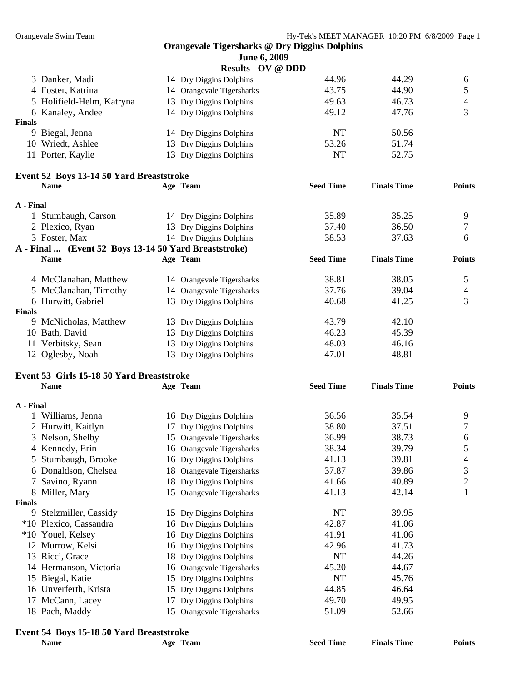|               |                                                       | June 6, 2009              |                  |                    |                |
|---------------|-------------------------------------------------------|---------------------------|------------------|--------------------|----------------|
|               |                                                       | <b>Results - OV @ DDD</b> |                  |                    |                |
|               | 3 Danker, Madi                                        | 14 Dry Diggins Dolphins   | 44.96            | 44.29              | 6              |
|               | 4 Foster, Katrina                                     | 14 Orangevale Tigersharks | 43.75            | 44.90              | 5              |
|               | 5 Holifield-Helm, Katryna                             | 13 Dry Diggins Dolphins   | 49.63            | 46.73              | $\overline{4}$ |
|               | 6 Kanaley, Andee                                      | 14 Dry Diggins Dolphins   | 49.12            | 47.76              | 3              |
| <b>Finals</b> |                                                       |                           |                  |                    |                |
|               | 9 Biegal, Jenna                                       | 14 Dry Diggins Dolphins   | <b>NT</b>        | 50.56              |                |
|               | 10 Wriedt, Ashlee                                     | 13 Dry Diggins Dolphins   | 53.26            | 51.74              |                |
|               | 11 Porter, Kaylie                                     | 13 Dry Diggins Dolphins   | <b>NT</b>        | 52.75              |                |
|               | Event 52 Boys 13-14 50 Yard Breaststroke              |                           |                  |                    |                |
|               | <b>Name</b>                                           | Age Team                  | <b>Seed Time</b> | <b>Finals Time</b> | <b>Points</b>  |
| A - Final     |                                                       |                           |                  |                    |                |
|               | 1 Stumbaugh, Carson                                   | 14 Dry Diggins Dolphins   | 35.89            | 35.25              | 9              |
|               | 2 Plexico, Ryan                                       | 13 Dry Diggins Dolphins   | 37.40            | 36.50              | 7              |
|               | 3 Foster, Max                                         | 14 Dry Diggins Dolphins   | 38.53            | 37.63              | 6              |
|               | A - Final  (Event 52 Boys 13-14 50 Yard Breaststroke) |                           |                  |                    |                |
|               | <b>Name</b>                                           | Age Team                  | <b>Seed Time</b> | <b>Finals Time</b> | <b>Points</b>  |
|               | 4 McClanahan, Matthew                                 | 14 Orangevale Tigersharks | 38.81            | 38.05              | $\mathfrak{S}$ |
|               | 5 McClanahan, Timothy                                 | 14 Orangevale Tigersharks | 37.76            | 39.04              | $\overline{4}$ |
|               | 6 Hurwitt, Gabriel                                    | 13 Dry Diggins Dolphins   | 40.68            | 41.25              | 3              |
| <b>Finals</b> |                                                       |                           |                  |                    |                |
|               | 9 McNicholas, Matthew                                 | 13 Dry Diggins Dolphins   | 43.79            | 42.10              |                |
|               | 10 Bath, David                                        | 13 Dry Diggins Dolphins   | 46.23            | 45.39              |                |
|               | 11 Verbitsky, Sean                                    | 13 Dry Diggins Dolphins   | 48.03            | 46.16              |                |
|               | 12 Oglesby, Noah                                      | 13 Dry Diggins Dolphins   | 47.01            | 48.81              |                |
|               | Event 53 Girls 15-18 50 Yard Breaststroke             |                           |                  |                    |                |
|               | <b>Name</b>                                           | Age Team                  | <b>Seed Time</b> | <b>Finals Time</b> | <b>Points</b>  |
| A - Final     |                                                       |                           |                  |                    |                |
|               | 1 Williams, Jenna                                     | 16 Dry Diggins Dolphins   | 36.56            | 35.54              | 9              |
|               | 2 Hurwitt, Kaitlyn                                    | 17 Dry Diggins Dolphins   | 38.80            | 37.51              | $\overline{7}$ |
|               | 3 Nelson, Shelby                                      | 15 Orangevale Tigersharks | 36.99            | 38.73              | 6              |
|               | 4 Kennedy, Erin                                       | 16 Orangevale Tigersharks | 38.34            | 39.79              | 5              |
|               | 5 Stumbaugh, Brooke                                   | 16 Dry Diggins Dolphins   | 41.13            | 39.81              | 4              |
|               | 6 Donaldson, Chelsea                                  | 18 Orangevale Tigersharks | 37.87            | 39.86              | 3              |
|               | 7 Savino, Ryann                                       | 18 Dry Diggins Dolphins   | 41.66            | 40.89              | 2              |
|               | 8 Miller, Mary                                        | 15 Orangevale Tigersharks | 41.13            | 42.14              | $\mathbf 1$    |
| <b>Finals</b> |                                                       |                           |                  |                    |                |
|               | 9 Stelzmiller, Cassidy                                | 15 Dry Diggins Dolphins   | NT               | 39.95              |                |
|               | *10 Plexico, Cassandra                                | 16 Dry Diggins Dolphins   | 42.87            | 41.06              |                |
|               | *10 Youel, Kelsey                                     | 16 Dry Diggins Dolphins   | 41.91            | 41.06              |                |
|               | 12 Murrow, Kelsi                                      | 16 Dry Diggins Dolphins   | 42.96            | 41.73              |                |
|               | 13 Ricci, Grace                                       | 18 Dry Diggins Dolphins   | NT               | 44.26              |                |
|               | 14 Hermanson, Victoria                                | 16 Orangevale Tigersharks | 45.20            | 44.67              |                |
|               | 15 Biegal, Katie                                      | 15 Dry Diggins Dolphins   | NT               | 45.76              |                |
|               | 16 Unverferth, Krista                                 | 15 Dry Diggins Dolphins   | 44.85            | 46.64              |                |
|               | 17 McCann, Lacey                                      | 17 Dry Diggins Dolphins   | 49.70            | 49.95              |                |
|               | 18 Pach, Maddy                                        | 15 Orangevale Tigersharks | 51.09            | 52.66              |                |

## **Event 54 Boys 15-18 50 Yard Breaststroke**

| Name | Team<br>Age | <b>Seed Time</b> | <b>Finals Time</b> | Points |
|------|-------------|------------------|--------------------|--------|
|      |             |                  |                    |        |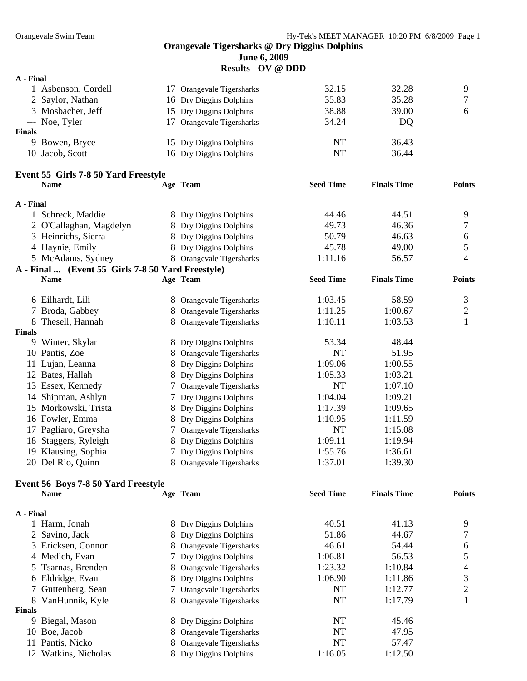**June 6, 2009** 

**Results - OV @ DDD** 

| A - Final |                     |                           |       |       |   |
|-----------|---------------------|---------------------------|-------|-------|---|
|           | 1 Asbenson, Cordell | 17 Orangevale Tigersharks | 32.15 | 32.28 | 9 |
|           | 2 Saylor, Nathan    | 16 Dry Diggins Dolphins   | 35.83 | 35.28 | 7 |
|           | 3 Mosbacher, Jeff   | 15 Dry Diggins Dolphins   | 38.88 | 39.00 | 6 |
|           | --- Noe, Tyler      | 17 Orangevale Tigersharks | 34.24 | DQ    |   |
| Finals    |                     |                           |       |       |   |
|           | 9 Bowen, Bryce      | 15 Dry Diggins Dolphins   | NT    | 36.43 |   |
|           | 10 Jacob, Scott     | 16 Dry Diggins Dolphins   | NT    | 36.44 |   |
|           |                     |                           |       |       |   |

## **Event 55 Girls 7-8 50 Yard Freestyle**

|               | <b>Name</b>                                       |    | Age Team                 | <b>Seed Time</b> | <b>Finals Time</b> | <b>Points</b>  |
|---------------|---------------------------------------------------|----|--------------------------|------------------|--------------------|----------------|
| A - Final     |                                                   |    |                          |                  |                    |                |
|               | 1 Schreck, Maddie                                 |    | 8 Dry Diggins Dolphins   | 44.46            | 44.51              | 9              |
|               | 2 O'Callaghan, Magdelyn                           |    | 8 Dry Diggins Dolphins   | 49.73            | 46.36              | 7              |
|               | 3 Heinrichs, Sierra                               |    | 8 Dry Diggins Dolphins   | 50.79            | 46.63              | 6              |
|               | 4 Haynie, Emily                                   |    | 8 Dry Diggins Dolphins   | 45.78            | 49.00              | 5              |
|               | 5 McAdams, Sydney                                 |    | 8 Orangevale Tigersharks | 1:11.16          | 56.57              | 4              |
|               | A - Final  (Event 55 Girls 7-8 50 Yard Freestyle) |    |                          |                  |                    |                |
|               | <b>Name</b>                                       |    | Age Team                 | <b>Seed Time</b> | <b>Finals Time</b> | <b>Points</b>  |
|               | 6 Eilhardt, Lili                                  |    | 8 Orangevale Tigersharks | 1:03.45          | 58.59              | 3              |
|               | 7 Broda, Gabbey                                   | 8  | Orangevale Tigersharks   | 1:11.25          | 1:00.67            | $\overline{2}$ |
| 8             | Thesell, Hannah                                   | 8  | Orangevale Tigersharks   | 1:10.11          | 1:03.53            |                |
| <b>Finals</b> |                                                   |    |                          |                  |                    |                |
| 9             | Winter, Skylar                                    |    | 8 Dry Diggins Dolphins   | 53.34            | 48.44              |                |
|               | 10 Pantis, Zoe                                    |    | 8 Orangevale Tigersharks | NT               | 51.95              |                |
| 11            | Lujan, Leanna                                     |    | 8 Dry Diggins Dolphins   | 1:09.06          | 1:00.55            |                |
|               | 12 Bates, Hallah                                  |    | 8 Dry Diggins Dolphins   | 1:05.33          | 1:03.21            |                |
| 13            | Essex, Kennedy                                    |    | Orangevale Tigersharks   | NT               | 1:07.10            |                |
| 14            | Shipman, Ashlyn                                   |    | Dry Diggins Dolphins     | 1:04.04          | 1:09.21            |                |
|               | 15 Morkowski, Trista                              |    | 8 Dry Diggins Dolphins   | 1:17.39          | 1:09.65            |                |
|               | 16 Fowler, Emma                                   |    | 8 Dry Diggins Dolphins   | 1:10.95          | 1:11.59            |                |
| 17            | Pagliaro, Greysha                                 |    | Orangevale Tigersharks   | NT               | 1:15.08            |                |
| 18            | Staggers, Ryleigh                                 |    | 8 Dry Diggins Dolphins   | 1:09.11          | 1:19.94            |                |
| 19            | Klausing, Sophia                                  |    | 7 Dry Diggins Dolphins   | 1:55.76          | 1:36.61            |                |
|               | 20 Del Rio, Quinn                                 | 8. | Orangevale Tigersharks   | 1:37.01          | 1:39.30            |                |

## **Event 56 Boys 7-8 50 Yard Freestyle**

|               | <b>Name</b>          |   | Age Team                 | <b>Seed Time</b> | <b>Finals Time</b> | <b>Points</b> |
|---------------|----------------------|---|--------------------------|------------------|--------------------|---------------|
| A - Final     |                      |   |                          |                  |                    |               |
|               | Harm, Jonah          |   | 8 Dry Diggins Dolphins   | 40.51            | 41.13              | 9             |
|               | 2 Savino, Jack       |   | 8 Dry Diggins Dolphins   | 51.86            | 44.67              |               |
|               | 3 Ericksen, Connor   |   | 8 Orangevale Tigersharks | 46.61            | 54.44              | 6             |
|               | 4 Medich, Evan       |   | 7 Dry Diggins Dolphins   | 1:06.81          | 56.53              |               |
|               | 5 Tsarnas, Brenden   |   | 8 Orangevale Tigersharks | 1:23.32          | 1:10.84            | 4             |
|               | 6 Eldridge, Evan     |   | 8 Dry Diggins Dolphins   | 1:06.90          | 1:11.86            | 3             |
|               | 7 Guttenberg, Sean   |   | 7 Orangevale Tigersharks | NT               | 1:12.77            | 2             |
|               | 8 VanHunnik, Kyle    |   | 8 Orangevale Tigersharks | NT               | 1:17.79            |               |
| <b>Finals</b> |                      |   |                          |                  |                    |               |
| 9             | Biegal, Mason        |   | 8 Dry Diggins Dolphins   | NT               | 45.46              |               |
| 10            | Boe, Jacob           |   | 8 Orangevale Tigersharks | NT               | 47.95              |               |
| 11            | Pantis, Nicko        |   | 8 Orangevale Tigersharks | NT               | 57.47              |               |
|               | 12 Watkins, Nicholas | 8 | Dry Diggins Dolphins     | 1:16.05          | 1:12.50            |               |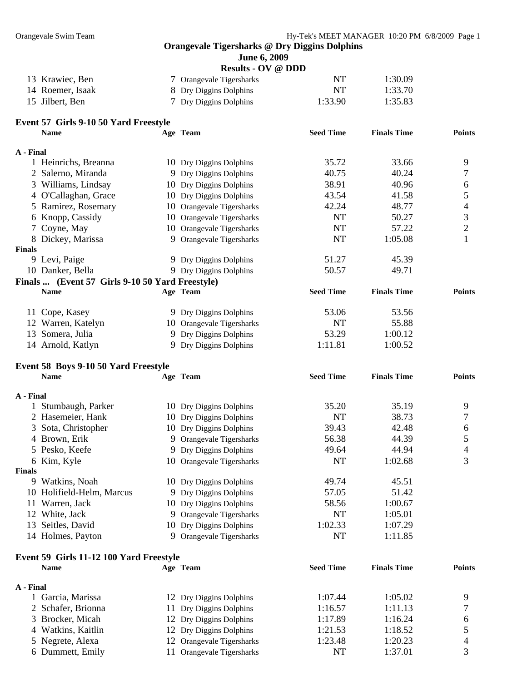**June 6, 2009 Results - OV @ DDD** 

|                  | $\bf$ Nesults - $\bf{U}$ $\bf{v}$ $\bf{w}$ $\bf{D}$ $\bf{D}$ |         |         |
|------------------|--------------------------------------------------------------|---------|---------|
| 13 Krawiec, Ben  | 7 Orangevale Tigersharks                                     | NT      | 1:30.09 |
| 14 Roemer, Isaak | 8 Dry Diggins Dolphins                                       | NT      | 1:33.70 |
| 15 Jilbert, Ben  | 7 Dry Diggins Dolphins                                       | 1:33.90 | 1:35.83 |

## **Event 57 Girls 9-10 50 Yard Freestyle**

|               | <b>Name</b>                                     | Age Team                  | <b>Seed Time</b> | <b>Finals Time</b> | <b>Points</b>            |
|---------------|-------------------------------------------------|---------------------------|------------------|--------------------|--------------------------|
| A - Final     |                                                 |                           |                  |                    |                          |
|               | 1 Heinrichs, Breanna                            | 10 Dry Diggins Dolphins   | 35.72            | 33.66              | 9                        |
|               | 2 Salerno, Miranda                              | 9 Dry Diggins Dolphins    | 40.75            | 40.24              | 7                        |
|               | 3 Williams, Lindsay                             | 10 Dry Diggins Dolphins   | 38.91            | 40.96              | $\sqrt{6}$               |
|               | 4 O'Callaghan, Grace                            | 10 Dry Diggins Dolphins   | 43.54            | 41.58              | $\sqrt{5}$               |
|               | 5 Ramirez, Rosemary                             | 10 Orangevale Tigersharks | 42.24            | 48.77              | $\overline{\mathcal{A}}$ |
|               | 6 Knopp, Cassidy                                | 10 Orangevale Tigersharks | <b>NT</b>        | 50.27              | 3                        |
|               | 7 Coyne, May                                    | 10 Orangevale Tigersharks | $\rm{NT}$        | 57.22              | $\overline{c}$           |
|               | 8 Dickey, Marissa                               | 9 Orangevale Tigersharks  | <b>NT</b>        | 1:05.08            | $\mathbf{1}$             |
| <b>Finals</b> |                                                 |                           |                  |                    |                          |
|               | 9 Levi, Paige                                   | 9 Dry Diggins Dolphins    | 51.27            | 45.39              |                          |
|               | 10 Danker, Bella                                | 9 Dry Diggins Dolphins    | 50.57            | 49.71              |                          |
|               | Finals  (Event 57 Girls 9-10 50 Yard Freestyle) |                           |                  |                    |                          |
|               | <b>Name</b>                                     | Age Team                  | <b>Seed Time</b> | <b>Finals Time</b> | <b>Points</b>            |
|               | 11 Cope, Kasey                                  | 9 Dry Diggins Dolphins    | 53.06            | 53.56              |                          |
|               | 12 Warren, Katelyn                              | 10 Orangevale Tigersharks | <b>NT</b>        | 55.88              |                          |
|               | 13 Somera, Julia                                | 9 Dry Diggins Dolphins    | 53.29            | 1:00.12            |                          |
|               | 14 Arnold, Katlyn                               | 9 Dry Diggins Dolphins    | 1:11.81          | 1:00.52            |                          |
|               | Event 58 Boys 9-10 50 Yard Freestyle            |                           |                  |                    |                          |
|               | <b>Name</b>                                     | Age Team                  | <b>Seed Time</b> | <b>Finals Time</b> | <b>Points</b>            |
| A - Final     |                                                 |                           |                  |                    |                          |
|               | 1 Stumbaugh, Parker                             | 10 Dry Diggins Dolphins   | 35.20            | 35.19              | 9                        |
|               | 2 Hasemeier, Hank                               | 10 Dry Diggins Dolphins   | <b>NT</b>        | 38.73              | 7                        |
| 3             | Sota, Christopher                               | 10 Dry Diggins Dolphins   | 39.43            | 42.48              | $\sqrt{6}$               |
|               | 4 Brown, Erik                                   | 9 Orangevale Tigersharks  | 56.38            | 44.39              | $\sqrt{5}$               |
|               | 5 Pesko, Keefe                                  | 9 Dry Diggins Dolphins    | 49.64            | 44.94              | $\overline{4}$           |
|               | 6 Kim, Kyle                                     | 10 Orangevale Tigersharks | <b>NT</b>        | 1:02.68            | 3                        |
| <b>Finals</b> |                                                 |                           |                  |                    |                          |
|               | 9 Watkins, Noah                                 | 10 Dry Diggins Dolphins   | 49.74            | 45.51              |                          |
|               | 10 Holifield-Helm, Marcus                       | 9 Dry Diggins Dolphins    | 57.05            | 51.42              |                          |
|               | 11 Warren, Jack                                 | 10 Dry Diggins Dolphins   | 58.56            | 1:00.67            |                          |
|               | 12 White, Jack                                  | 9 Orangevale Tigersharks  | <b>NT</b>        | 1:05.01            |                          |
|               | 13 Seitles, David                               | 10 Dry Diggins Dolphins   | 1:02.33          | 1:07.29            |                          |
|               | 14 Holmes, Payton                               | 9 Orangevale Tigersharks  | <b>NT</b>        | 1:11.85            |                          |

## **Event 59 Girls 11-12 100 Yard Freestyle Name Age Team Seed Time Finals Time Points A - Final**  1 Garcia, Marissa 12 Dry Diggins Dolphins 1:07.44 1:05.02 9<br>
2 Schafer, Brionna 11 Dry Diggins Dolphins 1:16.57 1:11.13 7 2 Schafer, Brionna 11 Dry Diggins Dolphins 1:16.57 1:11.13

| 3 Brocker, Micah   | 12 Dry Diggins Dolphins   | 1:17.89 | 1:16.24 | 6              |
|--------------------|---------------------------|---------|---------|----------------|
| 4 Watkins, Kaitlin | 12 Dry Diggins Dolphins   | 1:21.53 | 1:18.52 |                |
| 5 Negrete, Alexa   | 12 Orangevale Tigersharks | 1:23.48 | 1:20.23 | $\overline{4}$ |
| 6 Dummett, Emily   | 11 Orangevale Tigersharks | NT      | 1:37.01 |                |
|                    |                           |         |         |                |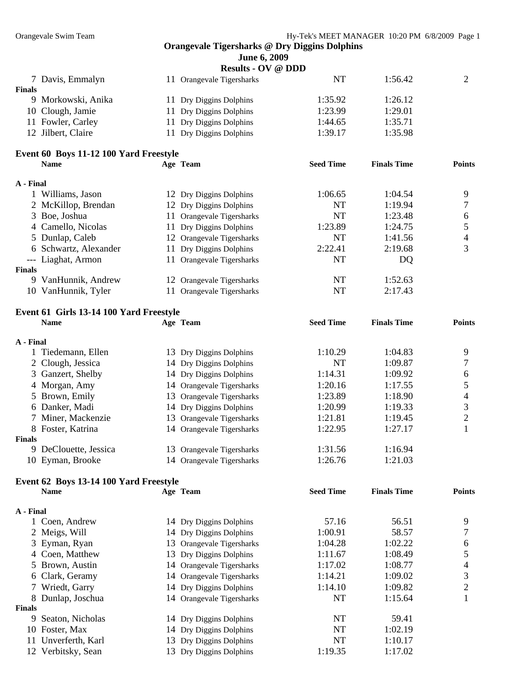**Name <b>Seed Time Agel <b>Seed Time Points** 

## **Orangevale Tigersharks @ Dry Diggins Dolphins**

**June 6, 2009** 

|               | <b>Results - OV @ DDD</b>              |                           |         |         |   |  |
|---------------|----------------------------------------|---------------------------|---------|---------|---|--|
|               | 7 Davis, Emmalyn                       | 11 Orangevale Tigersharks | NT      | 1:56.42 | 2 |  |
| <b>Finals</b> |                                        |                           |         |         |   |  |
|               | 9 Morkowski, Anika                     | 11 Dry Diggins Dolphins   | 1:35.92 | 1:26.12 |   |  |
|               | 10 Clough, Jamie                       | 11 Dry Diggins Dolphins   | 1:23.99 | 1:29.01 |   |  |
|               | 11 Fowler, Carley                      | 11 Dry Diggins Dolphins   | 1:44.65 | 1:35.71 |   |  |
|               | 12 Jilbert, Claire                     | 11 Dry Diggins Dolphins   | 1:39.17 | 1:35.98 |   |  |
|               |                                        |                           |         |         |   |  |
|               | Event 60 Boys 11-12 100 Yard Freestyle |                           |         |         |   |  |

|               | <b>Name</b>           | Age Team                      | <b>Seed Time</b> | <b>Finals Time</b> | <b>Points</b> |
|---------------|-----------------------|-------------------------------|------------------|--------------------|---------------|
| A - Final     |                       |                               |                  |                    |               |
|               | 1 Williams, Jason     | 12 Dry Diggins Dolphins       | 1:06.65          | 1:04.54            | Q             |
|               | 2 McKillop, Brendan   | 12 Dry Diggins Dolphins       | NT               | 1:19.94            |               |
|               | 3 Boe, Joshua         | 11 Orangevale Tigersharks     | NT               | 1:23.48            | 6             |
|               | 4 Camello, Nicolas    | 11 Dry Diggins Dolphins       | 1:23.89          | 1:24.75            |               |
|               | 5 Dunlap, Caleb       | 12 Orangevale Tigersharks     | NT               | 1:41.56            | 4             |
|               | 6 Schwartz, Alexander | 11 Dry Diggins Dolphins       | 2:22.41          | 2:19.68            |               |
|               | --- Liaghat, Armon    | 11 Orangevale Tigersharks     | NT               | DQ                 |               |
| <b>Finals</b> |                       |                               |                  |                    |               |
|               | 9 VanHunnik, Andrew   | 12 Orangevale Tigersharks     | NT               | 1:52.63            |               |
| 10            | VanHunnik, Tyler      | <b>Orangevale Tigersharks</b> | NT               | 2:17.43            |               |

## **Event 61 Girls 13-14 100 Yard Freestyle**

|               | <b>Name</b>         | Age Team                  | <b>Seed Time</b> | <b>Finals Time</b> | <b>Points</b> |
|---------------|---------------------|---------------------------|------------------|--------------------|---------------|
| A - Final     |                     |                           |                  |                    |               |
|               | Tiedemann, Ellen    | 13 Dry Diggins Dolphins   | 1:10.29          | 1:04.83            | 9             |
|               | 2 Clough, Jessica   | 14 Dry Diggins Dolphins   | NT               | 1:09.87            |               |
|               | 3 Ganzert, Shelby   | 14 Dry Diggins Dolphins   | 1:14.31          | 1:09.92            | 6             |
|               | 4 Morgan, Amy       | 14 Orangevale Tigersharks | 1:20.16          | 1:17.55            |               |
|               | 5 Brown, Emily      | 13 Orangevale Tigersharks | 1:23.89          | 1:18.90            | 4             |
|               | 6 Danker, Madi      | 14 Dry Diggins Dolphins   | 1:20.99          | 1:19.33            | 3             |
|               | 7 Miner, Mackenzie  | 13 Orangevale Tigersharks | 1:21.81          | 1:19.45            | ◠             |
|               | 8 Foster, Katrina   | 14 Orangevale Tigersharks | 1:22.95          | 1:27.17            |               |
| <b>Finals</b> |                     |                           |                  |                    |               |
| 9             | DeClouette, Jessica | 13 Orangevale Tigersharks | 1:31.56          | 1:16.94            |               |
|               | 10 Eyman, Brooke    | 14 Orangevale Tigersharks | 1:26.76          | 1:21.03            |               |

## **Event 62 Boys 13-14 100 Yard Freestyle**

|--|

## **A - Final**

| A - Final     |                    |                             |         |         |   |
|---------------|--------------------|-----------------------------|---------|---------|---|
|               | 1 Coen, Andrew     | 14 Dry Diggins Dolphins     | 57.16   | 56.51   | 9 |
|               | 2 Meigs, Will      | 14 Dry Diggins Dolphins     | 1:00.91 | 58.57   | 7 |
|               | 3 Eyman, Ryan      | 13 Orangevale Tigersharks   | 1:04.28 | 1:02.22 | 6 |
|               | 4 Coen, Matthew    | 13 Dry Diggins Dolphins     | 1:11.67 | 1:08.49 | 5 |
|               | 5 Brown, Austin    | 14 Orangevale Tigersharks   | 1:17.02 | 1:08.77 | 4 |
|               | 6 Clark, Geramy    | 14 Orangevale Tigersharks   | 1:14.21 | 1:09.02 | 3 |
|               | 7 Wriedt, Garry    | 14 Dry Diggins Dolphins     | 1:14.10 | 1:09.82 | 2 |
|               | 8 Dunlap, Joschua  | 14 Orangevale Tigersharks   | NT      | 1:15.64 |   |
| <b>Finals</b> |                    |                             |         |         |   |
| 9.            | Seaton, Nicholas   | 14 Dry Diggins Dolphins     | NT      | 59.41   |   |
|               | 10 Foster, Max     | 14 Dry Diggins Dolphins     | NT      | 1:02.19 |   |
| 11            | Unverferth, Karl   | 13 Dry Diggins Dolphins     | NT      | 1:10.17 |   |
|               | 12 Verbitsky, Sean | Dry Diggins Dolphins<br>13. | 1:19.35 | 1:17.02 |   |
|               |                    |                             |         |         |   |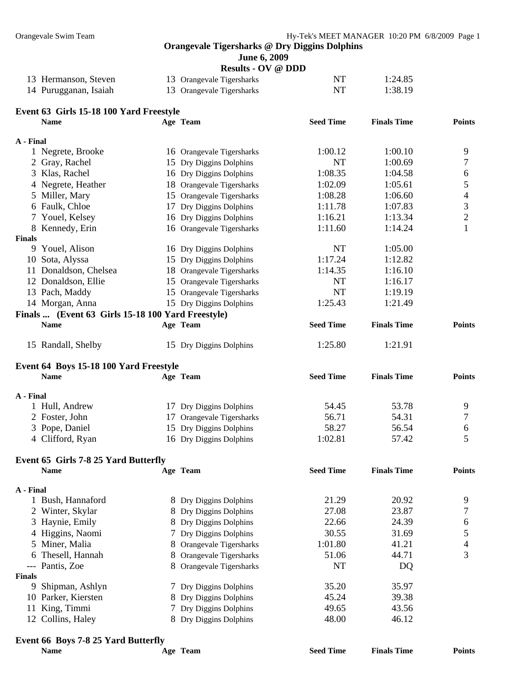**June 6, 2009** 

|                      | <b>Results - OV @ DDD</b> |    |         |
|----------------------|---------------------------|----|---------|
| 13 Hermanson, Steven | 13 Orangevale Tigersharks | NT | 1:24.85 |
|                      |                           |    |         |

| 14 Purugganan, Isaiah | 13 Orangevale Tigersharks | NT | 1:38.19 |
|-----------------------|---------------------------|----|---------|
|                       |                           |    |         |

## **Event 63 Girls 15-18 100 Yard Freestyle Name Age Team Seed Time Finals Time Points A - Final**  1 Negrete, Brooke 16 Orangevale Tigersharks 1:00.12 1:00.10 9 2 Gray, Rachel 15 Dry Diggins Dolphins NT 1:00.69 7 3 Klas, Rachel 16 Dry Diggins Dolphins 1:08.35 1:04.58 6 4 Negrete, Heather 18 Orangevale Tigersharks 1:02.09 1:05.61 5 5 Miller, Mary 15 Orangevale Tigersharks 1:08.28 1:06.60 4 6 Faulk, Chloe 17 Dry Diggins Dolphins 1:11.78 1:07.83 3 7 Youel, Kelsey 16 Dry Diggins Dolphins 1:16.21 1:13.34 2 8 Kennedy, Erin 16 Orangevale Tigersharks 1:11.60 1:14.24 1 **Finals**  9 Youel, Alison 16 Dry Diggins Dolphins NT 1:05.00 10 Sota, Alyssa 15 Dry Diggins Dolphins 1:17.24 1:12.82 11 Donaldson, Chelsea 18 Orangevale Tigersharks 1:14.35 1:16.10 12 Donaldson, Ellie 15 Orangevale Tigersharks NT 1:16.17 13 Pach, Maddy 15 Orangevale Tigersharks NT 1:19.19 14 Morgan, Anna 15 Dry Diggins Dolphins 1:25.43 1:21.49 **Finals ... (Event 63 Girls 15-18 100 Yard Freestyle) Name Age Team Seed Time Finals Time Points**  15 Randall, Shelby 15 Dry Diggins Dolphins 1:25.80 1:21.91 **Event 64 Boys 15-18 100 Yard Freestyle Name Age Team Seed Time Finals Time Points A - Final**  1 Hull, Andrew 17 Dry Diggins Dolphins 54.45 53.78 9 2 Foster, John 17 Orangevale Tigersharks 56.71 54.31 7 3 Pope, Daniel 15 Dry Diggins Dolphins 58.27 56.54 6 4 Clifford, Ryan 16 Dry Diggins Dolphins 1:02.81 57.42 5 **Event 65 Girls 7-8 25 Yard Butterfly Name Age Team Seed Time Finals Time Points A - Final**  1 Bush, Hannaford 8 Dry Diggins Dolphins 21.29 20.92 9 2 Winter, Skylar 8 Dry Diggins Dolphins 27.08 23.87 7 3 Haynie, Emily 8 Dry Diggins Dolphins 22.66 24.39 6 4 Higgins, Naomi 7 Dry Diggins Dolphins 30.55 31.69 5 5 Miner, Malia 1:01.80 41.21 4 6 Thesell, Hannah 8 Orangevale Tigersharks 51.06 44.71 3

--- Pantis, Zoe 8 Orangevale Tigersharks NT DQ **Finals**  9 Shipman, Ashlyn 7 Dry Diggins Dolphins 35.20 35.97 10 Parker, Kiersten 8 Dry Diggins Dolphins 45.24 39.38 11 King, Timmi 7 Dry Diggins Dolphins 49.65 43.56 12 Collins, Haley 8 Dry Diggins Dolphins 48.00 46.12

## **Event 66 Boys 7-8 25 Yard Butterfly**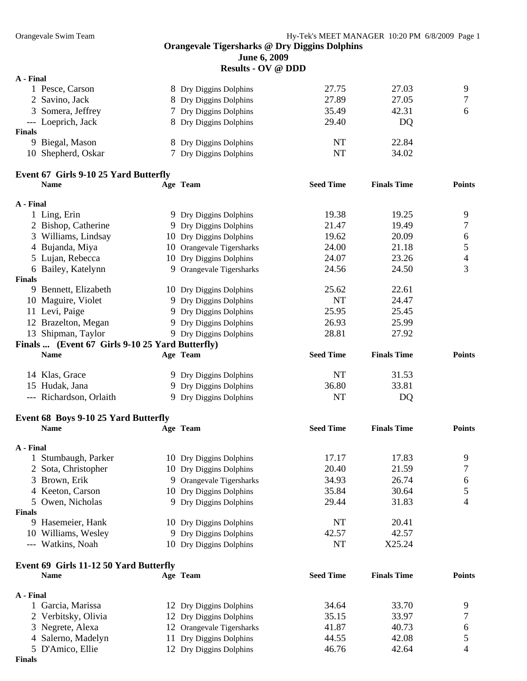**June 6, 2009** 

**Results - OV @ DDD** 

| A - Final     |                                       |                           |                  |                    |               |
|---------------|---------------------------------------|---------------------------|------------------|--------------------|---------------|
|               | 1 Pesce, Carson                       | 8 Dry Diggins Dolphins    | 27.75            | 27.03              | 9             |
|               | 2 Savino, Jack                        | 8 Dry Diggins Dolphins    | 27.89            | 27.05              | 7             |
|               | 3 Somera, Jeffrey                     | 7 Dry Diggins Dolphins    | 35.49            | 42.31              | 6             |
|               | --- Loeprich, Jack                    | 8 Dry Diggins Dolphins    | 29.40            | DQ                 |               |
| <b>Finals</b> |                                       |                           |                  |                    |               |
|               | 9 Biegal, Mason                       | 8 Dry Diggins Dolphins    | <b>NT</b>        | 22.84              |               |
|               | 10 Shepherd, Oskar                    | 7 Dry Diggins Dolphins    | <b>NT</b>        | 34.02              |               |
|               | Event 67 Girls 9-10 25 Yard Butterfly |                           |                  |                    |               |
|               | <b>Name</b>                           | Age Team                  | <b>Seed Time</b> | <b>Finals Time</b> | <b>Points</b> |
| A - Final     |                                       |                           |                  |                    |               |
|               | 1 Ling, Erin                          | 9 Dry Diggins Dolphins    | 19.38            | 19.25              | 9             |
|               | 2 Bishop, Catherine                   | 9 Dry Diggins Dolphins    | 21.47            | 19.49              | 7             |
|               | 3 Williams, Lindsay                   | 10 Dry Diggins Dolphins   | 19.62            | 20.09              | 6             |
|               | 4 Bujanda, Miya                       | 10 Orangevale Tigersharks | 24.00            | 21.18              | 5             |
|               | 5 Lujan, Rebecca                      | 10 Dry Diggins Dolphins   | 24.07            | 23.26              | 4             |
|               | 6 Bailey, Katelynn                    | 9 Orangevale Tigersharks  | 24.56            | 24.50              | 3             |
| <b>Finals</b> |                                       |                           |                  |                    |               |
|               | 9 Bennett, Elizabeth                  | 10 Dry Diggins Dolphins   | 25.62            | 22.61              |               |
|               | 10 Maguire, Violet                    | 9 Dry Diggins Dolphins    | <b>NT</b>        | 24.47              |               |
|               | 11 Levi, Paige                        | 9 Dry Diggins Dolphins    | 25.95            | 25.45              |               |

| 13 Shipman, Taylor      | 9 Dry Diggins Dolphins                          | 28.81            | 27.92              |               |
|-------------------------|-------------------------------------------------|------------------|--------------------|---------------|
|                         | Finals  (Event 67 Girls 9-10 25 Yard Butterfly) |                  |                    |               |
| <b>Name</b>             | Age Team                                        | <b>Seed Time</b> | <b>Finals Time</b> | <b>Points</b> |
| 14 Klas, Grace          | 9 Dry Diggins Dolphins                          | NT               | 31.53              |               |
| 15 Hudak, Jana          | 9 Dry Diggins Dolphins                          | 36.80            | 33.81              |               |
| --- Richardson, Orlaith | 9 Dry Diggins Dolphins                          | NT               | DO                 |               |

12 Brazelton, Megan 9 Dry Diggins Dolphins 26.93 25.99

## **Event 68 Boys 9-10 25 Yard Butterfly**

| Q |
|---|
|   |
|   |
|   |
| 6 |
|   |
| 4 |
|   |
|   |
|   |
|   |
|   |

### **Event 69 Girls 11-12 50 Yard Butterfly**

| <b>Name</b> |                                                                                                                     | <b>Seed Time</b>                                                                                                                                  | <b>Finals Time</b> | <b>Points</b> |
|-------------|---------------------------------------------------------------------------------------------------------------------|---------------------------------------------------------------------------------------------------------------------------------------------------|--------------------|---------------|
|             |                                                                                                                     |                                                                                                                                                   |                    |               |
|             |                                                                                                                     | 34.64                                                                                                                                             | 33.70              |               |
|             |                                                                                                                     | 35.15                                                                                                                                             | 33.97              |               |
|             |                                                                                                                     | 41.87                                                                                                                                             | 40.73              | <sub>6</sub>  |
|             |                                                                                                                     | 44.55                                                                                                                                             | 42.08              |               |
|             |                                                                                                                     | 46.76                                                                                                                                             | 42.64              |               |
|             | A - Final<br>1 Garcia, Marissa<br>2 Verbitsky, Olivia<br>3 Negrete, Alexa<br>4 Salerno, Madelyn<br>5 D'Amico, Ellie | Age Team<br>12 Dry Diggins Dolphins<br>12 Dry Diggins Dolphins<br>12 Orangevale Tigersharks<br>11 Dry Diggins Dolphins<br>12 Dry Diggins Dolphins |                    |               |

**Finals**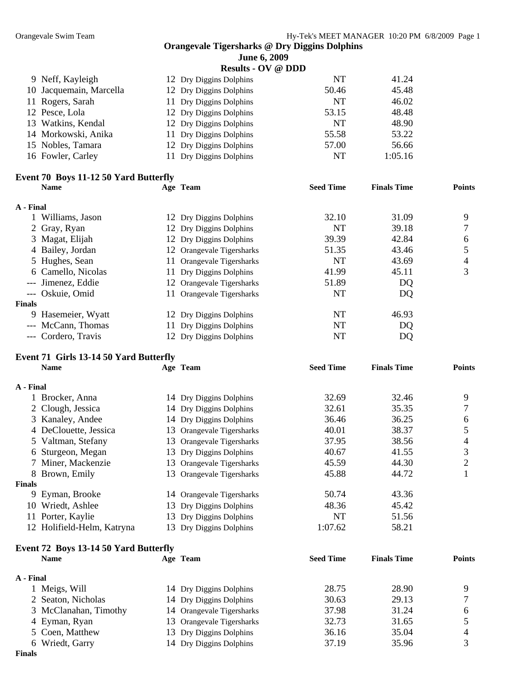|                         | June 6, 2009              |           |         |
|-------------------------|---------------------------|-----------|---------|
|                         | <b>Results - OV @ DDD</b> |           |         |
| 9 Neff, Kayleigh        | 12 Dry Diggins Dolphins   | <b>NT</b> | 41.24   |
| 10 Jacquemain, Marcella | 12 Dry Diggins Dolphins   | 50.46     | 45.48   |
| 11 Rogers, Sarah        | 11 Dry Diggins Dolphins   | <b>NT</b> | 46.02   |
| 12 Pesce, Lola          | 12 Dry Diggins Dolphins   | 53.15     | 48.48   |
| 13 Watkins, Kendal      | 12 Dry Diggins Dolphins   | <b>NT</b> | 48.90   |
| 14 Morkowski, Anika     | 11 Dry Diggins Dolphins   | 55.58     | 53.22   |
| 15 Nobles, Tamara       | 12 Dry Diggins Dolphins   | 57.00     | 56.66   |
| 16 Fowler, Carley       | 11 Dry Diggins Dolphins   | NT        | 1:05.16 |
|                         |                           |           |         |

## **Event 70 Boys 11-12 50 Yard Butterfly**

|               | <b>Name</b>         | Age Team                  | <b>Seed Time</b> | <b>Finals Time</b> | <b>Points</b> |
|---------------|---------------------|---------------------------|------------------|--------------------|---------------|
| A - Final     |                     |                           |                  |                    |               |
|               | Williams, Jason     | 12 Dry Diggins Dolphins   | 32.10            | 31.09              | 9             |
|               | 2 Gray, Ryan        | 12 Dry Diggins Dolphins   | NT               | 39.18              |               |
|               | 3 Magat, Elijah     | 12 Dry Diggins Dolphins   | 39.39            | 42.84              | 6             |
|               | 4 Bailey, Jordan    | 12 Orangevale Tigersharks | 51.35            | 43.46              |               |
|               | 5 Hughes, Sean      | 11 Orangevale Tigersharks | NT               | 43.69              | 4             |
|               | 6 Camello, Nicolas  | 11 Dry Diggins Dolphins   | 41.99            | 45.11              | 3             |
|               | --- Jimenez, Eddie  | 12 Orangevale Tigersharks | 51.89            | DQ                 |               |
|               | Oskuie, Omid        | 11 Orangevale Tigersharks | NT               | DQ                 |               |
| <b>Finals</b> |                     |                           |                  |                    |               |
|               | 9 Hasemeier, Wyatt  | 12 Dry Diggins Dolphins   | NT               | 46.93              |               |
|               | --- McCann, Thomas  | 11 Dry Diggins Dolphins   | NT               | DQ                 |               |
|               | --- Cordero, Travis | 12 Dry Diggins Dolphins   | NT               | DQ                 |               |
|               |                     |                           |                  |                    |               |

## **Event 71 Girls 13-14 50 Yard Butterfly**

| <b>Name</b> |                                                                                                                                                                                                                                                                                           | <b>Seed Time</b>                                                                                                                                                                                                                                                                                                                                 | <b>Finals Time</b> | <b>Points</b> |
|-------------|-------------------------------------------------------------------------------------------------------------------------------------------------------------------------------------------------------------------------------------------------------------------------------------------|--------------------------------------------------------------------------------------------------------------------------------------------------------------------------------------------------------------------------------------------------------------------------------------------------------------------------------------------------|--------------------|---------------|
|             |                                                                                                                                                                                                                                                                                           |                                                                                                                                                                                                                                                                                                                                                  |                    |               |
|             |                                                                                                                                                                                                                                                                                           | 32.69                                                                                                                                                                                                                                                                                                                                            | 32.46              | 9             |
|             |                                                                                                                                                                                                                                                                                           | 32.61                                                                                                                                                                                                                                                                                                                                            | 35.35              |               |
|             |                                                                                                                                                                                                                                                                                           | 36.46                                                                                                                                                                                                                                                                                                                                            | 36.25              | 6             |
|             |                                                                                                                                                                                                                                                                                           | 40.01                                                                                                                                                                                                                                                                                                                                            | 38.37              |               |
|             |                                                                                                                                                                                                                                                                                           | 37.95                                                                                                                                                                                                                                                                                                                                            | 38.56              | 4             |
|             |                                                                                                                                                                                                                                                                                           | 40.67                                                                                                                                                                                                                                                                                                                                            | 41.55              | 3             |
|             |                                                                                                                                                                                                                                                                                           | 45.59                                                                                                                                                                                                                                                                                                                                            | 44.30              | 2             |
|             |                                                                                                                                                                                                                                                                                           | 45.88                                                                                                                                                                                                                                                                                                                                            | 44.72              |               |
|             |                                                                                                                                                                                                                                                                                           |                                                                                                                                                                                                                                                                                                                                                  |                    |               |
|             |                                                                                                                                                                                                                                                                                           | 50.74                                                                                                                                                                                                                                                                                                                                            | 43.36              |               |
|             |                                                                                                                                                                                                                                                                                           | 48.36                                                                                                                                                                                                                                                                                                                                            | 45.42              |               |
|             | 13.                                                                                                                                                                                                                                                                                       | NT                                                                                                                                                                                                                                                                                                                                               | 51.56              |               |
|             | 13.                                                                                                                                                                                                                                                                                       | 1:07.62                                                                                                                                                                                                                                                                                                                                          | 58.21              |               |
|             | A - Final<br>1 Brocker, Anna<br>2 Clough, Jessica<br>3 Kanaley, Andee<br>4 DeClouette, Jessica<br>5 Valtman, Stefany<br>6 Sturgeon, Megan<br>7 Miner, Mackenzie<br>8 Brown, Emily<br>Finals<br>9 Eyman, Brooke<br>10 Wriedt, Ashlee<br>Porter, Kaylie<br>11<br>12 Holifield-Helm, Katryna | Age Team<br>14 Dry Diggins Dolphins<br>14 Dry Diggins Dolphins<br>14 Dry Diggins Dolphins<br>13 Orangevale Tigersharks<br>13 Orangevale Tigersharks<br>13 Dry Diggins Dolphins<br>13 Orangevale Tigersharks<br>13 Orangevale Tigersharks<br>14 Orangevale Tigersharks<br>13 Dry Diggins Dolphins<br>Dry Diggins Dolphins<br>Dry Diggins Dolphins |                    |               |

#### **Event 72 Boys 13-14 50 Yard Butterfly**

| <b>Seed Time</b>                                                                                                                                                               | <b>Finals Time</b> | <b>Points</b> |
|--------------------------------------------------------------------------------------------------------------------------------------------------------------------------------|--------------------|---------------|
|                                                                                                                                                                                |                    |               |
| 28.75                                                                                                                                                                          | 28.90              | Q             |
| 30.63                                                                                                                                                                          | 29.13              |               |
| 37.98                                                                                                                                                                          | 31.24              | 6             |
| 32.73                                                                                                                                                                          | 31.65              |               |
| 36.16                                                                                                                                                                          | 35.04              |               |
| 37.19                                                                                                                                                                          | 35.96              |               |
| Age Team<br>14 Dry Diggins Dolphins<br>14 Dry Diggins Dolphins<br>14 Orangevale Tigersharks<br>13 Orangevale Tigersharks<br>13 Dry Diggins Dolphins<br>14 Dry Diggins Dolphins |                    |               |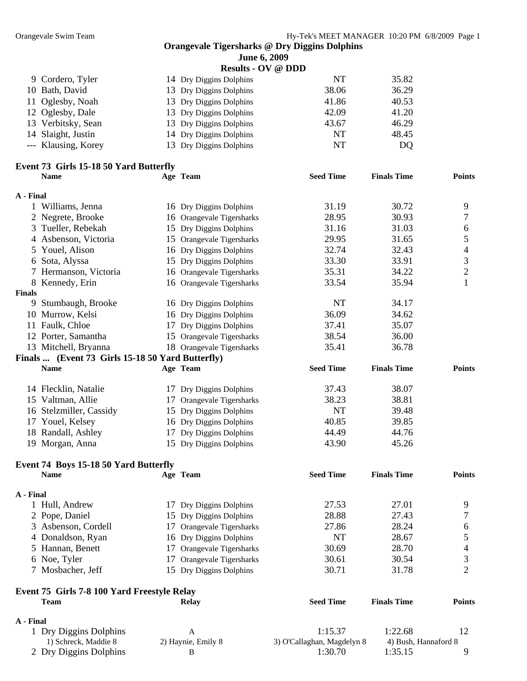|               |                                                       |    | June 6, 2009              |                            |                      |                          |
|---------------|-------------------------------------------------------|----|---------------------------|----------------------------|----------------------|--------------------------|
|               |                                                       |    | <b>Results - OV @ DDD</b> |                            |                      |                          |
|               | 9 Cordero, Tyler                                      |    | 14 Dry Diggins Dolphins   | NT                         | 35.82                |                          |
|               | 10 Bath, David                                        |    | 13 Dry Diggins Dolphins   | 38.06                      | 36.29                |                          |
| 11            | Oglesby, Noah                                         |    | 13 Dry Diggins Dolphins   | 41.86                      | 40.53                |                          |
|               | 12 Oglesby, Dale                                      |    | 13 Dry Diggins Dolphins   | 42.09                      | 41.20                |                          |
|               | 13 Verbitsky, Sean                                    |    | 13 Dry Diggins Dolphins   | 43.67                      | 46.29                |                          |
| 14            | Slaight, Justin                                       |    | 14 Dry Diggins Dolphins   | NT                         | 48.45                |                          |
|               | --- Klausing, Korey                                   |    | 13 Dry Diggins Dolphins   | NT                         | DQ                   |                          |
|               |                                                       |    |                           |                            |                      |                          |
|               | Event 73 Girls 15-18 50 Yard Butterfly<br><b>Name</b> |    |                           |                            |                      |                          |
|               |                                                       |    | Age Team                  | <b>Seed Time</b>           | <b>Finals Time</b>   | <b>Points</b>            |
| A - Final     |                                                       |    |                           |                            |                      |                          |
|               | 1 Williams, Jenna                                     |    | 16 Dry Diggins Dolphins   | 31.19                      | 30.72                | 9                        |
|               | 2 Negrete, Brooke                                     |    | 16 Orangevale Tigersharks | 28.95                      | 30.93                | 7                        |
|               | 3 Tueller, Rebekah                                    |    | 15 Dry Diggins Dolphins   | 31.16                      | 31.03                | 6                        |
|               | 4 Asbenson, Victoria                                  |    | 15 Orangevale Tigersharks | 29.95                      | 31.65                | $\mathfrak s$            |
|               | 5 Youel, Alison                                       |    | 16 Dry Diggins Dolphins   | 32.74                      | 32.43                | $\overline{\mathcal{A}}$ |
|               | 6 Sota, Alyssa                                        |    | 15 Dry Diggins Dolphins   | 33.30                      | 33.91                | $\mathfrak{Z}$           |
|               | 7 Hermanson, Victoria                                 |    | 16 Orangevale Tigersharks | 35.31                      | 34.22                | $\mathbf{2}$             |
|               | 8 Kennedy, Erin                                       |    | 16 Orangevale Tigersharks | 33.54                      | 35.94                | 1                        |
| <b>Finals</b> |                                                       |    |                           |                            |                      |                          |
|               | 9 Stumbaugh, Brooke                                   |    | 16 Dry Diggins Dolphins   | NT                         | 34.17                |                          |
|               | 10 Murrow, Kelsi                                      |    | 16 Dry Diggins Dolphins   | 36.09                      | 34.62                |                          |
|               | 11 Faulk, Chloe                                       |    | 17 Dry Diggins Dolphins   | 37.41                      | 35.07                |                          |
|               | 12 Porter, Samantha                                   |    | 15 Orangevale Tigersharks | 38.54                      | 36.00                |                          |
|               | 13 Mitchell, Bryanna                                  |    | 18 Orangevale Tigersharks | 35.41                      | 36.78                |                          |
|               | Finals  (Event 73 Girls 15-18 50 Yard Butterfly)      |    |                           |                            |                      |                          |
|               | <b>Name</b>                                           |    | Age Team                  | <b>Seed Time</b>           | <b>Finals Time</b>   | <b>Points</b>            |
|               |                                                       |    |                           |                            |                      |                          |
|               | 14 Flecklin, Natalie                                  |    | 17 Dry Diggins Dolphins   | 37.43                      | 38.07                |                          |
|               | 15 Valtman, Allie                                     |    | 17 Orangevale Tigersharks | 38.23                      | 38.81                |                          |
|               | 16 Stelzmiller, Cassidy                               |    | 15 Dry Diggins Dolphins   | NT                         | 39.48                |                          |
|               | 17 Youel, Kelsey                                      |    | 16 Dry Diggins Dolphins   | 40.85                      | 39.85                |                          |
|               | 18 Randall, Ashley                                    |    | 17 Dry Diggins Dolphins   | 44.49                      | 44.76                |                          |
|               | 19 Morgan, Anna                                       |    | 15 Dry Diggins Dolphins   | 43.90                      | 45.26                |                          |
|               |                                                       |    |                           |                            |                      |                          |
|               | Event 74 Boys 15-18 50 Yard Butterfly                 |    |                           |                            |                      |                          |
|               | <b>Name</b>                                           |    | Age Team                  | <b>Seed Time</b>           | <b>Finals Time</b>   | <b>Points</b>            |
| A - Final     |                                                       |    |                           |                            |                      |                          |
|               | 1 Hull, Andrew                                        |    | 17 Dry Diggins Dolphins   | 27.53                      | 27.01                | 9                        |
|               | 2 Pope, Daniel                                        |    | 15 Dry Diggins Dolphins   | 28.88                      | 27.43                | 7                        |
|               | 3 Asbenson, Cordell                                   |    | 17 Orangevale Tigersharks | 27.86                      | 28.24                | 6                        |
|               | 4 Donaldson, Ryan                                     |    | 16 Dry Diggins Dolphins   | NT                         | 28.67                | 5                        |
|               | 5 Hannan, Benett                                      |    | 17 Orangevale Tigersharks | 30.69                      | 28.70                | 4                        |
|               | 6 Noe, Tyler                                          | 17 | Orangevale Tigersharks    | 30.61                      | 30.54                | 3                        |
|               | 7 Mosbacher, Jeff                                     |    | 15 Dry Diggins Dolphins   | 30.71                      | 31.78                | $\overline{2}$           |
|               |                                                       |    |                           |                            |                      |                          |
|               | Event 75 Girls 7-8 100 Yard Freestyle Relay           |    |                           |                            |                      |                          |
|               | <b>Team</b>                                           |    | <b>Relay</b>              | <b>Seed Time</b>           | <b>Finals Time</b>   | <b>Points</b>            |
| A - Final     |                                                       |    |                           |                            |                      |                          |
|               | 1 Dry Diggins Dolphins                                |    | A                         | 1:15.37                    | 1:22.68              | 12                       |
|               | 1) Schreck, Maddie 8                                  |    | 2) Haynie, Emily 8        | 3) O'Callaghan, Magdelyn 8 | 4) Bush, Hannaford 8 |                          |

2 Dry Diggins Dolphins B 1:30.70 1:35.15 9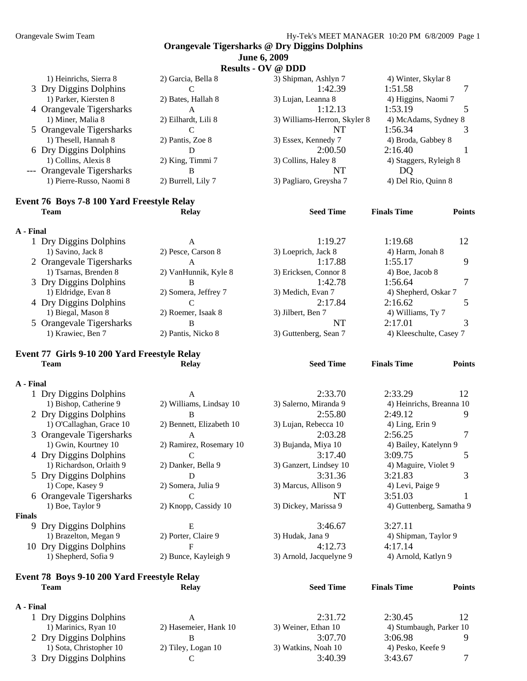**Results - OV @ DDD** 

| N                          |                     |                              |                        |  |  |  |  |  |  |
|----------------------------|---------------------|------------------------------|------------------------|--|--|--|--|--|--|
| 1) Heinrichs, Sierra 8     | 2) Garcia, Bella 8  | 3) Shipman, Ashlyn 7         | 4) Winter, Skylar 8    |  |  |  |  |  |  |
| 3 Dry Diggins Dolphins     |                     | 1:42.39                      | 1:51.58                |  |  |  |  |  |  |
| 1) Parker, Kiersten 8      | 2) Bates, Hallah 8  | 3) Lujan, Leanna 8           | 4) Higgins, Naomi 7    |  |  |  |  |  |  |
| 4 Orangevale Tigersharks   | А                   | 1:12.13                      | 1:53.19                |  |  |  |  |  |  |
| 1) Miner, Malia 8          | 2) Eilhardt, Lili 8 | 3) Williams-Herron, Skyler 8 | 4) McAdams, Sydney 8   |  |  |  |  |  |  |
| 5 Orangevale Tigersharks   |                     | NT                           | 1:56.34                |  |  |  |  |  |  |
| 1) Thesell, Hannah 8       | 2) Pantis, Zoe 8    | 3) Essex, Kennedy 7          | 4) Broda, Gabbey 8     |  |  |  |  |  |  |
| 6 Dry Diggins Dolphins     |                     | 2:00.50                      | 2:16.40                |  |  |  |  |  |  |
| 1) Collins, Alexis 8       | 2) King, Timmi 7    | 3) Collins, Haley 8          | 4) Staggers, Ryleigh 8 |  |  |  |  |  |  |
| --- Orangevale Tigersharks | В                   | NT                           | DO                     |  |  |  |  |  |  |
| 1) Pierre-Russo, Naomi 8   | 2) Burrell, Lily 7  | 3) Pagliaro, Greysha 7       | 4) Del Rio, Quinn 8    |  |  |  |  |  |  |
|                            |                     |                              |                        |  |  |  |  |  |  |

#### **Event 76 Boys 7-8 100 Yard Freestyle Relay Team Relay Seed Time Finals Time Points**

#### **A - Final**  1 Dry Diggins Dolphins A 1:19.27 1:19.68 12 1) Savino, Jack 8 2) Pesce, Carson 8 3) Loeprich, Jack 8 4) Harm, Jonah 8 2 Orangevale Tigersharks  $A$  1:17.88 1:55.17 9 1) Tsarnas, Brenden 8 2) VanHunnik, Kyle 8 3) Ericksen, Connor 8 4) Boe, Jacob 8 3 Dry Diggins Dolphins B<br>
1) Eldridge, Evan 8 2) Somera, Jeffrey 7 3) Medich, Evan 7 4) Shepherd, Oskar 7 3 2) Somera, Jeffrey 7 3) Medich, Evan 7 4) Shepherd, Oskar 7 4 Dry Diggins Dolphins C<br>
1) Biegal, Mason 8 2) Roemer, Isaak 8 3) Jilbert, Ben 7 4) Williams, Ty 7 1) Biegal, Mason 8 2) Roemer, Isaak 8 3) Jilbert, Ben 7 5 Orangevale Tigersharks B B NT 2:17.01 3 1) Krawiec, Ben 7 2) Pantis, Nicko 8 3) Guttenberg, Sean 7 4) Kleeschulte, Casey 7

#### **Event 77 Girls 9-10 200 Yard Freestyle Relay Team Relay Seed Time Finals Time Points**

#### **A - Final**

| л - гшаг      |                          |                          |                         |                          |   |
|---------------|--------------------------|--------------------------|-------------------------|--------------------------|---|
|               | 1 Dry Diggins Dolphins   | A                        | 2:33.70                 | 2:33.29<br>12            |   |
|               | 1) Bishop, Catherine 9   | 2) Williams, Lindsay 10  | 3) Salerno, Miranda 9   | 4) Heinrichs, Breanna 10 |   |
|               | 2 Dry Diggins Dolphins   | B                        | 2:55.80                 | 2:49.12                  | 9 |
|               | 1) O'Callaghan, Grace 10 | 2) Bennett, Elizabeth 10 | 3) Lujan, Rebecca 10    | 4) Ling, Erin 9          |   |
|               | 3 Orangevale Tigersharks | A                        | 2:03.28                 | 2:56.25                  |   |
|               | 1) Gwin, Kourtney 10     | 2) Ramirez, Rosemary 10  | 3) Bujanda, Miya 10     | 4) Bailey, Katelynn 9    |   |
|               | 4 Dry Diggins Dolphins   |                          | 3:17.40                 | 3:09.75                  | 5 |
|               | 1) Richardson, Orlaith 9 | 2) Danker, Bella 9       | 3) Ganzert, Lindsey 10  | 4) Maguire, Violet 9     |   |
|               | 5 Dry Diggins Dolphins   | D                        | 3:31.36                 | 3:21.83                  | 3 |
|               | 1) Cope, Kasey 9         | 2) Somera, Julia 9       | 3) Marcus, Allison 9    | 4) Levi, Paige 9         |   |
|               | 6 Orangevale Tigersharks |                          | NT                      | 3:51.03                  |   |
|               | 1) Boe, Taylor 9         | 2) Knopp, Cassidy 10     | 3) Dickey, Marissa 9    | 4) Guttenberg, Samatha 9 |   |
| <b>Finals</b> |                          |                          |                         |                          |   |
| 9.            | Dry Diggins Dolphins     | E                        | 3:46.67                 | 3:27.11                  |   |
|               | 1) Brazelton, Megan 9    | 2) Porter, Claire 9      | 3) Hudak, Jana 9        | 4) Shipman, Taylor 9     |   |
|               | 10 Dry Diggins Dolphins  | F                        | 4:12.73                 | 4:17.14                  |   |
|               | 1) Shepherd, Sofia 9     | 2) Bunce, Kayleigh 9     | 3) Arnold, Jacquelyne 9 | 4) Arnold, Katlyn 9      |   |
|               |                          |                          |                         |                          |   |

#### **Event 78 Boys 9-10 200 Yard Freestyle Relay Team Relay Seed Time Finals Time Points**

#### **A - Final**

| 1 Dry Diggins Dolphins  | A                     | 2:31.72             | 2:30.45                 | 12 |
|-------------------------|-----------------------|---------------------|-------------------------|----|
| 1) Marinics, Ryan 10    | 2) Hasemeier, Hank 10 | 3) Weiner, Ethan 10 | 4) Stumbaugh, Parker 10 |    |
| 2 Dry Diggins Dolphins  |                       | 3:07.70             | 3:06.98                 |    |
| 1) Sota, Christopher 10 | 2) Tiley, Logan 10    | 3) Watkins, Noah 10 | 4) Pesko, Keefe 9       |    |
| 3 Dry Diggins Dolphins  |                       | 3:40.39             | 3:43.67                 |    |

| :33.29                   | 12 |
|--------------------------|----|
| 4) Heinrichs, Breanna 10 |    |
| :49.12                   | q  |
| 4) Ling, Erin 9          |    |
| :56.25                   | 7  |
| 4) Bailey, Katelynn 9    |    |
| :09.75                   | 5  |
| 4) Maguire, Violet 9     |    |
| :21.83                   | 3  |
| 4) Levi, Paige 9         |    |
|                          |    |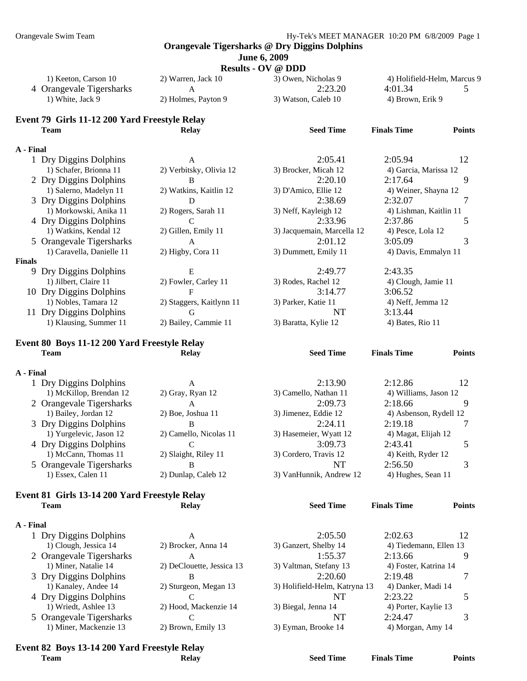| <b>June 6, 2009</b> |  |  |
|---------------------|--|--|
|---------------------|--|--|

**Results - OV @ DDD** 

| 1) Keeton, Carson 10     | 2) Warren, Jack 10  | 3) Owen, Nicholas 9 | 4) Holifield-Helm, Marcus 9 |  |
|--------------------------|---------------------|---------------------|-----------------------------|--|
| 4 Orangevale Tigersharks |                     | 2:23.20             | 4:01.34                     |  |
| 1) White, Jack 9         | 2) Holmes, Payton 9 | 3) Watson, Caleb 10 | 4) Brown, Erik 9            |  |
|                          |                     |                     |                             |  |

#### **Event 79 Girls 11-12 200 Yard Freestyle Relay Team Relay Seed Time Finals Time Points**

## **A - Final**

|               | 1 Dry Diggins Dolphins    | A                        | 2:05.41                    | 2:05.94                | 12 |
|---------------|---------------------------|--------------------------|----------------------------|------------------------|----|
|               | 1) Schafer, Brionna 11    | 2) Verbitsky, Olivia 12  | 3) Brocker, Micah 12       | 4) Garcia, Marissa 12  |    |
|               | 2 Dry Diggins Dolphins    | B                        | 2:20.10                    | 2:17.64                | 9  |
|               | 1) Salerno, Madelyn 11    | 2) Watkins, Kaitlin 12   | 3) D'Amico, Ellie 12       | 4) Weiner, Shayna 12   |    |
|               | 3 Dry Diggins Dolphins    | D                        | 2:38.69                    | 2:32.07                |    |
|               | 1) Morkowski, Anika 11    | 2) Rogers, Sarah 11      | 3) Neff, Kayleigh 12       | 4) Lishman, Kaitlin 11 |    |
|               | 4 Dry Diggins Dolphins    |                          | 2:33.96                    | 2:37.86                |    |
|               | 1) Watkins, Kendal 12     | 2) Gillen, Emily 11      | 3) Jacquemain, Marcella 12 | 4) Pesce, Lola 12      |    |
|               | 5 Orangevale Tigersharks  | A                        | 2:01.12                    | 3:05.09                | 3  |
|               | 1) Caravella, Danielle 11 | 2) Higby, Cora 11        | 3) Dummett, Emily 11       | 4) Davis, Emmalyn 11   |    |
| <b>Finals</b> |                           |                          |                            |                        |    |
|               | 9 Dry Diggins Dolphins    | E                        | 2:49.77                    | 2:43.35                |    |
|               | 1) Jilbert, Claire 11     | 2) Fowler, Carley 11     | 3) Rodes, Rachel 12        | 4) Clough, Jamie 11    |    |
|               | 10 Dry Diggins Dolphins   | F                        | 3:14.77                    | 3:06.52                |    |
|               | 1) Nobles, Tamara 12      | 2) Staggers, Kaitlynn 11 | 3) Parker, Katie 11        | 4) Neff, Jemma 12      |    |
|               | Dry Diggins Dolphins      | G                        | NT                         | 3:13.44                |    |
|               | 1) Klausing, Summer 11    | 2) Bailey, Cammie 11     | 3) Baratta, Kylie 12       | 4) Bates, Rio 11       |    |
|               |                           |                          |                            |                        |    |

#### **Event 80 Boys 11-12 200 Yard Freestyle Relay Team Relay Seed Time Finals Time Points**

#### **A - Final**

| 1 Dry Diggins Dolphins   | A                      | 2:13.90                 | 2:12.86                | 12 |
|--------------------------|------------------------|-------------------------|------------------------|----|
| 1) McKillop, Brendan 12  | 2) Gray, Ryan 12       | 3) Camello, Nathan 11   | 4) Williams, Jason 12  |    |
| 2 Orangevale Tigersharks | A                      | 2:09.73                 | 2:18.66                |    |
| 1) Bailey, Jordan 12     | $2)$ Boe, Joshua 11    | 3) Jimenez, Eddie 12    | 4) Asbenson, Rydell 12 |    |
| 3 Dry Diggins Dolphins   | B                      | 2:24.11                 | 2:19.18                |    |
| 1) Yurgelevic, Jason 12  | 2) Camello, Nicolas 11 | 3) Hasemeier, Wyatt 12  | 4) Magat, Elijah 12    |    |
| 4 Dry Diggins Dolphins   |                        | 3:09.73                 | 2:43.41                |    |
| 1) McCann, Thomas 11     | 2) Slaight, Riley 11   | 3) Cordero, Travis 12   | 4) Keith, Ryder 12     |    |
| 5 Orangevale Tigersharks | B                      | NT                      | 2:56.50                |    |
| 1) Essex, Calen 11       | 2) Dunlap, Caleb 12    | 3) VanHunnik, Andrew 12 | 4) Hughes, Sean 11     |    |

#### **Event 81 Girls 13-14 200 Yard Freestyle Relay Team Relay Seed Time Finals Time Points**

#### **A - Final**

| 1 Dry Diggins Dolphins   |                           | 2:05.50                       | 2:02.63                |  |
|--------------------------|---------------------------|-------------------------------|------------------------|--|
| 1) Clough, Jessica 14    | 2) Brocker, Anna 14       | 3) Ganzert, Shelby 14         | 4) Tiedemann, Ellen 13 |  |
| 2 Orangevale Tigersharks |                           | 1:55.37                       | 2:13.66                |  |
| 1) Miner, Natalie 14     | 2) DeClouette, Jessica 13 | 3) Valtman, Stefany 13        | 4) Foster, Katrina 14  |  |
| 3 Dry Diggins Dolphins   |                           | 2:20.60                       | 2:19.48                |  |
| 1) Kanaley, Andee 14     | 2) Sturgeon, Megan 13     | 3) Holifield-Helm, Katryna 13 | 4) Danker, Madi 14     |  |
| 4 Dry Diggins Dolphins   |                           | NT                            | 2:23.22                |  |
| 1) Wriedt, Ashlee 13     | 2) Hood, Mackenzie 14     | 3) Biegal, Jenna 14           | 4) Porter, Kaylie 13   |  |
| 5 Orangevale Tigersharks |                           | NT                            | 2:24.47                |  |
| 1) Miner, Mackenzie 13   | 2) Brown, Emily 13        | 3) Eyman, Brooke 14           | 4) Morgan, Amy 14      |  |

## **Event 82 Boys 13-14 200 Yard Freestyle Relay**